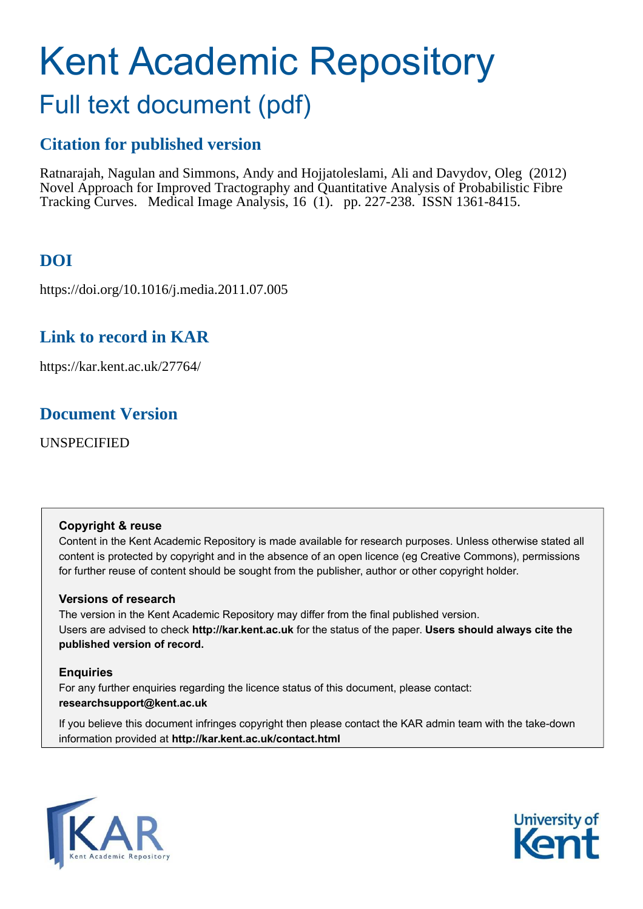# Kent Academic Repository

## Full text document (pdf)

## **Citation for published version**

Ratnarajah, Nagulan and Simmons, Andy and Hojjatoleslami, Ali and Davydov, Oleg (2012) Novel Approach for Improved Tractography and Quantitative Analysis of Probabilistic Fibre Tracking Curves. Medical Image Analysis, 16 (1). pp. 227-238. ISSN 1361-8415.

## **DOI**

https://doi.org/10.1016/j.media.2011.07.005

## **Link to record in KAR**

https://kar.kent.ac.uk/27764/

## **Document Version**

UNSPECIFIED

#### **Copyright & reuse**

Content in the Kent Academic Repository is made available for research purposes. Unless otherwise stated all content is protected by copyright and in the absence of an open licence (eg Creative Commons), permissions for further reuse of content should be sought from the publisher, author or other copyright holder.

#### **Versions of research**

The version in the Kent Academic Repository may differ from the final published version. Users are advised to check **http://kar.kent.ac.uk** for the status of the paper. **Users should always cite the published version of record.**

#### **Enquiries**

For any further enquiries regarding the licence status of this document, please contact: **researchsupport@kent.ac.uk**

If you believe this document infringes copyright then please contact the KAR admin team with the take-down information provided at **http://kar.kent.ac.uk/contact.html**



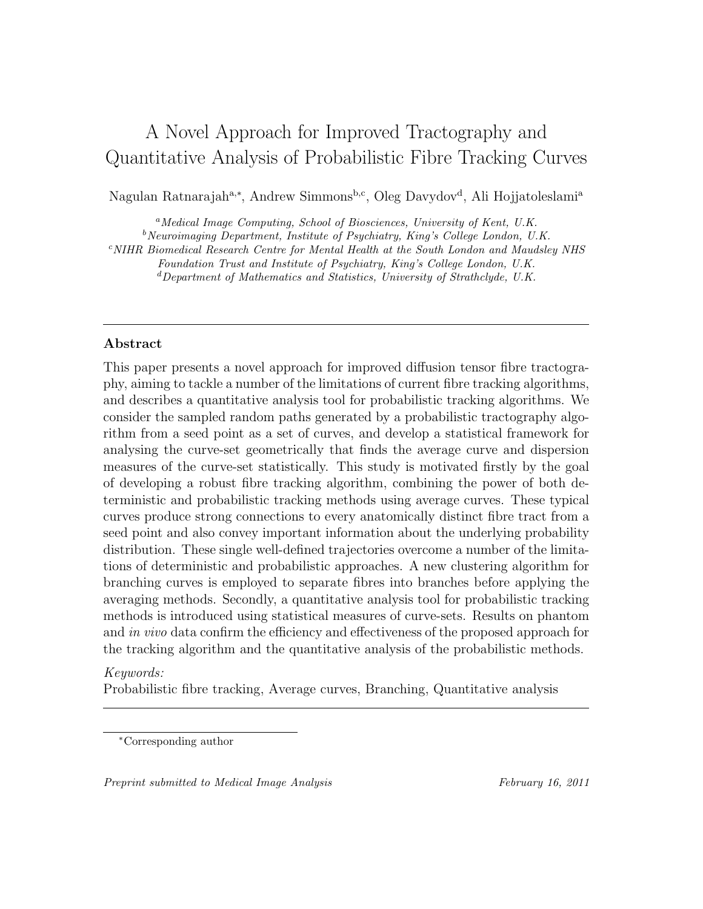## A Novel Approach for Improved Tractography and Quantitative Analysis of Probabilistic Fibre Tracking Curves

Nagulan Ratnarajah<sup>a,∗</sup>, Andrew Simmons<sup>b,c</sup>, Oleg Davydov<sup>d</sup>, Ali Hojjatoleslami<sup>a</sup>

<sup>a</sup>Medical Image Computing, School of Biosciences, University of Kent, U.K.

 $^{b}$ Neuroimaging Department, Institute of Psychiatry, King's College London, U.K.

<sup>c</sup>NIHR Biomedical Research Centre for Mental Health at the South London and Maudsley NHS

Foundation Trust and Institute of Psychiatry, King's College London, U.K.

 ${}^d$ Department of Mathematics and Statistics, University of Strathclyde, U.K.

#### Abstract

This paper presents a novel approach for improved diffusion tensor fibre tractography, aiming to tackle a number of the limitations of current fibre tracking algorithms, and describes a quantitative analysis tool for probabilistic tracking algorithms. We consider the sampled random paths generated by a probabilistic tractography algorithm from a seed point as a set of curves, and develop a statistical framework for analysing the curve-set geometrically that finds the average curve and dispersion measures of the curve-set statistically. This study is motivated firstly by the goal of developing a robust fibre tracking algorithm, combining the power of both deterministic and probabilistic tracking methods using average curves. These typical curves produce strong connections to every anatomically distinct fibre tract from a seed point and also convey important information about the underlying probability distribution. These single well-defined trajectories overcome a number of the limitations of deterministic and probabilistic approaches. A new clustering algorithm for branching curves is employed to separate fibres into branches before applying the averaging methods. Secondly, a quantitative analysis tool for probabilistic tracking methods is introduced using statistical measures of curve-sets. Results on phantom and *in vivo* data confirm the efficiency and effectiveness of the proposed approach for the tracking algorithm and the quantitative analysis of the probabilistic methods.

#### *Keywords:*

Probabilistic fibre tracking, Average curves, Branching, Quantitative analysis

<sup>∗</sup>Corresponding author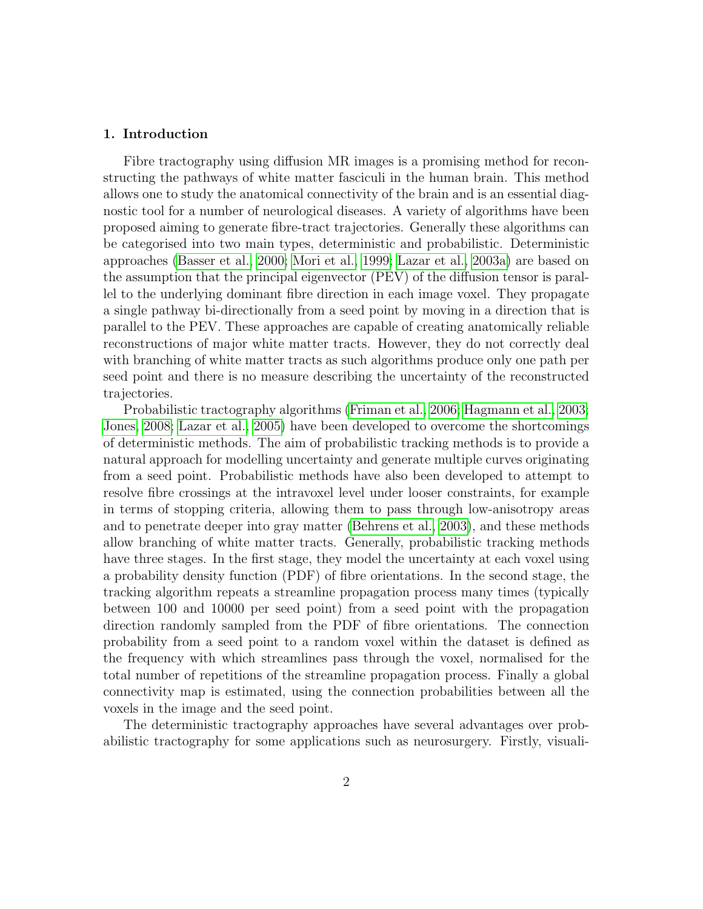#### 1. Introduction

Fibre tractography using diffusion MR images is a promising method for reconstructing the pathways of white matter fasciculi in the human brain. This method allows one to study the anatomical connectivity of the brain and is an essential diagnostic tool for a number of neurological diseases. A variety of algorithms have been proposed aiming to generate fibre-tract trajectories. Generally these algorithms can be categorised into two main types, deterministic and probabilistic. Deterministic approaches [\(Basser et al., 2000;](#page-24-0) [Mori et al., 1999;](#page-26-0) [Lazar et al., 2003a\)](#page-25-0) are based on the assumption that the principal eigenvector (PEV) of the diffusion tensor is parallel to the underlying dominant fibre direction in each image voxel. They propagate a single pathway bi-directionally from a seed point by moving in a direction that is parallel to the PEV. These approaches are capable of creating anatomically reliable reconstructions of major white matter tracts. However, they do not correctly deal with branching of white matter tracts as such algorithms produce only one path per seed point and there is no measure describing the uncertainty of the reconstructed trajectories.

Probabilistic tractography algorithms [\(Friman et al., 2006;](#page-25-1) [Hagmann et al., 2003;](#page-25-2) [Jones, 2008;](#page-25-3) [Lazar et al., 2005\)](#page-25-4) have been developed to overcome the shortcomings of deterministic methods. The aim of probabilistic tracking methods is to provide a natural approach for modelling uncertainty and generate multiple curves originating from a seed point. Probabilistic methods have also been developed to attempt to resolve fibre crossings at the intravoxel level under looser constraints, for example in terms of stopping criteria, allowing them to pass through low-anisotropy areas and to penetrate deeper into gray matter [\(Behrens et al., 2003\)](#page-24-1), and these methods allow branching of white matter tracts. Generally, probabilistic tracking methods have three stages. In the first stage, they model the uncertainty at each voxel using a probability density function (PDF) of fibre orientations. In the second stage, the tracking algorithm repeats a streamline propagation process many times (typically between 100 and 10000 per seed point) from a seed point with the propagation direction randomly sampled from the PDF of fibre orientations. The connection probability from a seed point to a random voxel within the dataset is defined as the frequency with which streamlines pass through the voxel, normalised for the total number of repetitions of the streamline propagation process. Finally a global connectivity map is estimated, using the connection probabilities between all the voxels in the image and the seed point.

The deterministic tractography approaches have several advantages over probabilistic tractography for some applications such as neurosurgery. Firstly, visuali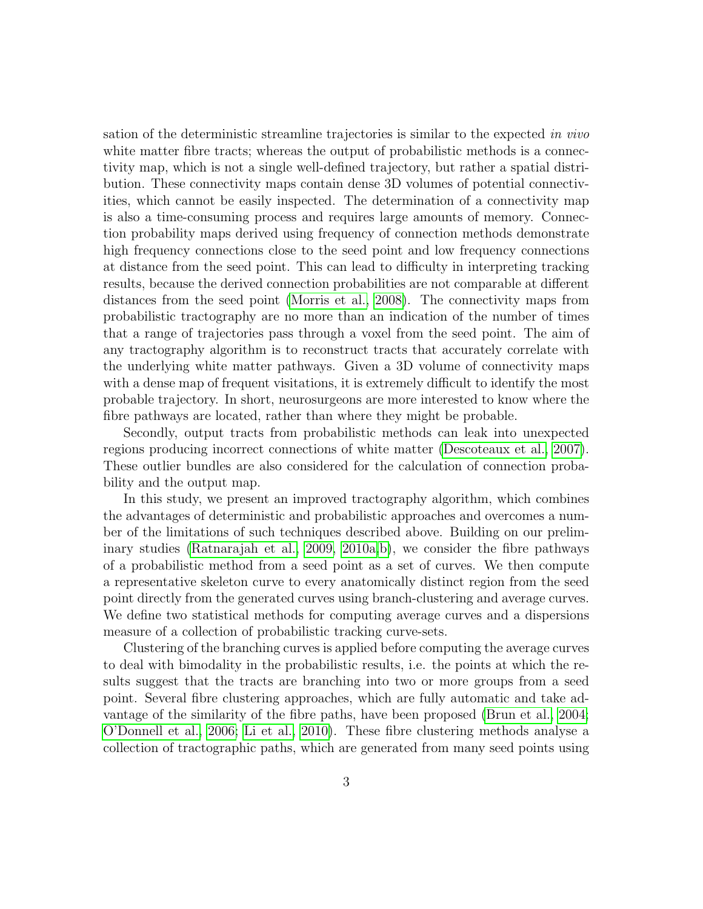sation of the deterministic streamline trajectories is similar to the expected *in vivo* white matter fibre tracts; whereas the output of probabilistic methods is a connectivity map, which is not a single well-defined trajectory, but rather a spatial distribution. These connectivity maps contain dense 3D volumes of potential connectivities, which cannot be easily inspected. The determination of a connectivity map is also a time-consuming process and requires large amounts of memory. Connection probability maps derived using frequency of connection methods demonstrate high frequency connections close to the seed point and low frequency connections at distance from the seed point. This can lead to difficulty in interpreting tracking results, because the derived connection probabilities are not comparable at different distances from the seed point [\(Morris et al., 2008\)](#page-26-1). The connectivity maps from probabilistic tractography are no more than an indication of the number of times that a range of trajectories pass through a voxel from the seed point. The aim of any tractography algorithm is to reconstruct tracts that accurately correlate with the underlying white matter pathways. Given a 3D volume of connectivity maps with a dense map of frequent visitations, it is extremely difficult to identify the most probable trajectory. In short, neurosurgeons are more interested to know where the fibre pathways are located, rather than where they might be probable.

Secondly, output tracts from probabilistic methods can leak into unexpected regions producing incorrect connections of white matter [\(Descoteaux et al., 2007\)](#page-24-2). These outlier bundles are also considered for the calculation of connection probability and the output map.

In this study, we present an improved tractography algorithm, which combines the advantages of deterministic and probabilistic approaches and overcomes a number of the limitations of such techniques described above. Building on our preliminary studies [\(Ratnarajah et al., 2009,](#page-26-2) [2010a](#page-26-3)[,b\)](#page-26-4), we consider the fibre pathways of a probabilistic method from a seed point as a set of curves. We then compute a representative skeleton curve to every anatomically distinct region from the seed point directly from the generated curves using branch-clustering and average curves. We define two statistical methods for computing average curves and a dispersions measure of a collection of probabilistic tracking curve-sets.

Clustering of the branching curves is applied before computing the average curves to deal with bimodality in the probabilistic results, i.e. the points at which the results suggest that the tracts are branching into two or more groups from a seed point. Several fibre clustering approaches, which are fully automatic and take advantage of the similarity of the fibre paths, have been proposed [\(Brun et al., 2004;](#page-24-3) [O'Donnell et al., 2006;](#page-26-5) [Li et al., 2010\)](#page-25-5). These fibre clustering methods analyse a collection of tractographic paths, which are generated from many seed points using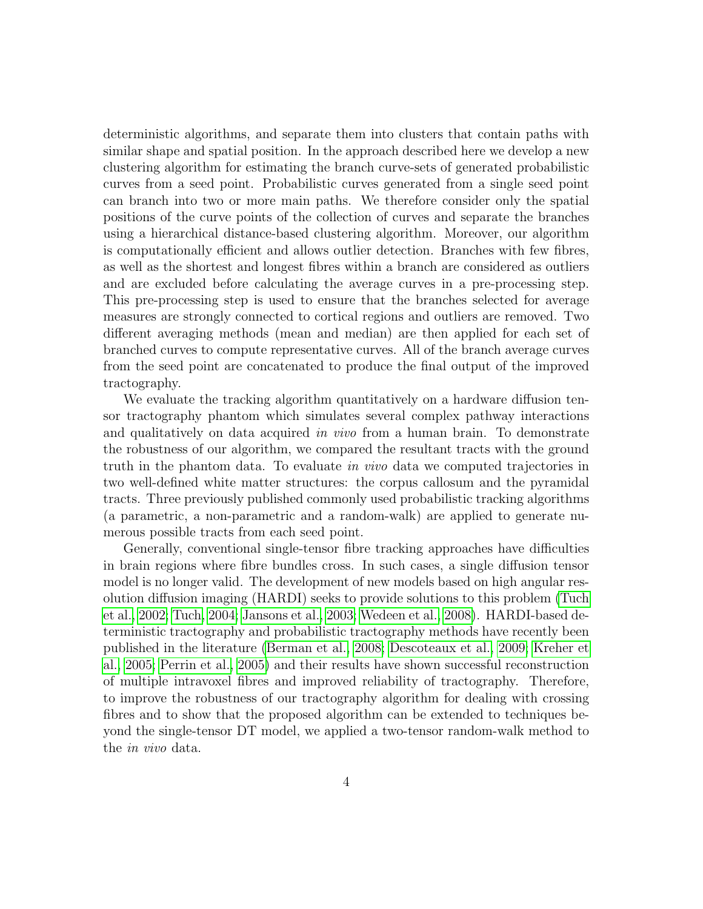deterministic algorithms, and separate them into clusters that contain paths with similar shape and spatial position. In the approach described here we develop a new clustering algorithm for estimating the branch curve-sets of generated probabilistic curves from a seed point. Probabilistic curves generated from a single seed point can branch into two or more main paths. We therefore consider only the spatial positions of the curve points of the collection of curves and separate the branches using a hierarchical distance-based clustering algorithm. Moreover, our algorithm is computationally efficient and allows outlier detection. Branches with few fibres, as well as the shortest and longest fibres within a branch are considered as outliers and are excluded before calculating the average curves in a pre-processing step. This pre-processing step is used to ensure that the branches selected for average measures are strongly connected to cortical regions and outliers are removed. Two different averaging methods (mean and median) are then applied for each set of branched curves to compute representative curves. All of the branch average curves from the seed point are concatenated to produce the final output of the improved tractography.

We evaluate the tracking algorithm quantitatively on a hardware diffusion tensor tractography phantom which simulates several complex pathway interactions and qualitatively on data acquired *in vivo* from a human brain. To demonstrate the robustness of our algorithm, we compared the resultant tracts with the ground truth in the phantom data. To evaluate *in vivo* data we computed trajectories in two well-defined white matter structures: the corpus callosum and the pyramidal tracts. Three previously published commonly used probabilistic tracking algorithms (a parametric, a non-parametric and a random-walk) are applied to generate numerous possible tracts from each seed point.

Generally, conventional single-tensor fibre tracking approaches have difficulties in brain regions where fibre bundles cross. In such cases, a single diffusion tensor model is no longer valid. The development of new models based on high angular resolution diffusion imaging (HARDI) seeks to provide solutions to this problem [\(Tuch](#page-27-0) [et al., 2002;](#page-27-0) [Tuch, 2004;](#page-27-1) [Jansons et al., 2003;](#page-25-6) [Wedeen et al., 2008\)](#page-27-2). HARDI-based deterministic tractography and probabilistic tractography methods have recently been published in the literature [\(Berman et al., 2008;](#page-24-4) [Descoteaux et al., 2009;](#page-24-5) [Kreher et](#page-25-7) [al., 2005;](#page-25-7) [Perrin et al., 2005\)](#page-26-6) and their results have shown successful reconstruction of multiple intravoxel fibres and improved reliability of tractography. Therefore, to improve the robustness of our tractography algorithm for dealing with crossing fibres and to show that the proposed algorithm can be extended to techniques beyond the single-tensor DT model, we applied a two-tensor random-walk method to the *in vivo* data.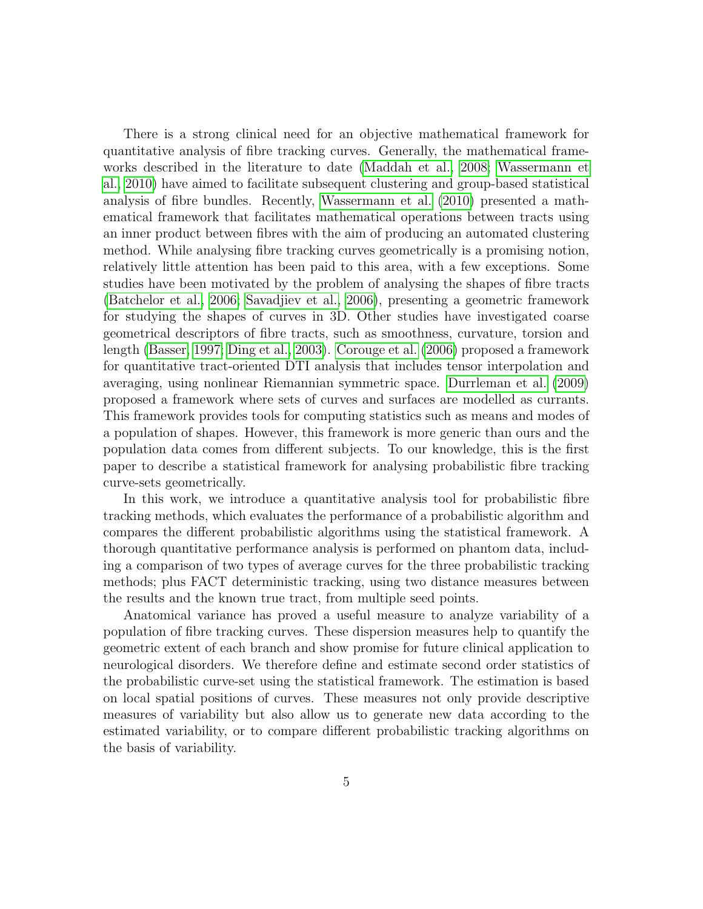There is a strong clinical need for an objective mathematical framework for quantitative analysis of fibre tracking curves. Generally, the mathematical frameworks described in the literature to date [\(Maddah et al., 2008;](#page-25-8) [Wassermann et](#page-27-3) [al., 2010\)](#page-27-3) have aimed to facilitate subsequent clustering and group-based statistical analysis of fibre bundles. Recently, [Wassermann et al. \(2010\)](#page-27-3) presented a mathematical framework that facilitates mathematical operations between tracts using an inner product between fibres with the aim of producing an automated clustering method. While analysing fibre tracking curves geometrically is a promising notion, relatively little attention has been paid to this area, with a few exceptions. Some studies have been motivated by the problem of analysing the shapes of fibre tracts [\(Batchelor et al., 2006;](#page-24-6) [Savadjiev et al., 2006\)](#page-26-7), presenting a geometric framework for studying the shapes of curves in 3D. Other studies have investigated coarse geometrical descriptors of fibre tracts, such as smoothness, curvature, torsion and length [\(Basser, 1997;](#page-24-7) [Ding et al., 2003\)](#page-25-9). [Corouge et al. \(2006\)](#page-24-8) proposed a framework for quantitative tract-oriented DTI analysis that includes tensor interpolation and averaging, using nonlinear Riemannian symmetric space. [Durrleman et al. \(2009\)](#page-25-10) proposed a framework where sets of curves and surfaces are modelled as currants. This framework provides tools for computing statistics such as means and modes of a population of shapes. However, this framework is more generic than ours and the population data comes from different subjects. To our knowledge, this is the first paper to describe a statistical framework for analysing probabilistic fibre tracking curve-sets geometrically.

In this work, we introduce a quantitative analysis tool for probabilistic fibre tracking methods, which evaluates the performance of a probabilistic algorithm and compares the different probabilistic algorithms using the statistical framework. A thorough quantitative performance analysis is performed on phantom data, including a comparison of two types of average curves for the three probabilistic tracking methods; plus FACT deterministic tracking, using two distance measures between the results and the known true tract, from multiple seed points.

Anatomical variance has proved a useful measure to analyze variability of a population of fibre tracking curves. These dispersion measures help to quantify the geometric extent of each branch and show promise for future clinical application to neurological disorders. We therefore define and estimate second order statistics of the probabilistic curve-set using the statistical framework. The estimation is based on local spatial positions of curves. These measures not only provide descriptive measures of variability but also allow us to generate new data according to the estimated variability, or to compare different probabilistic tracking algorithms on the basis of variability.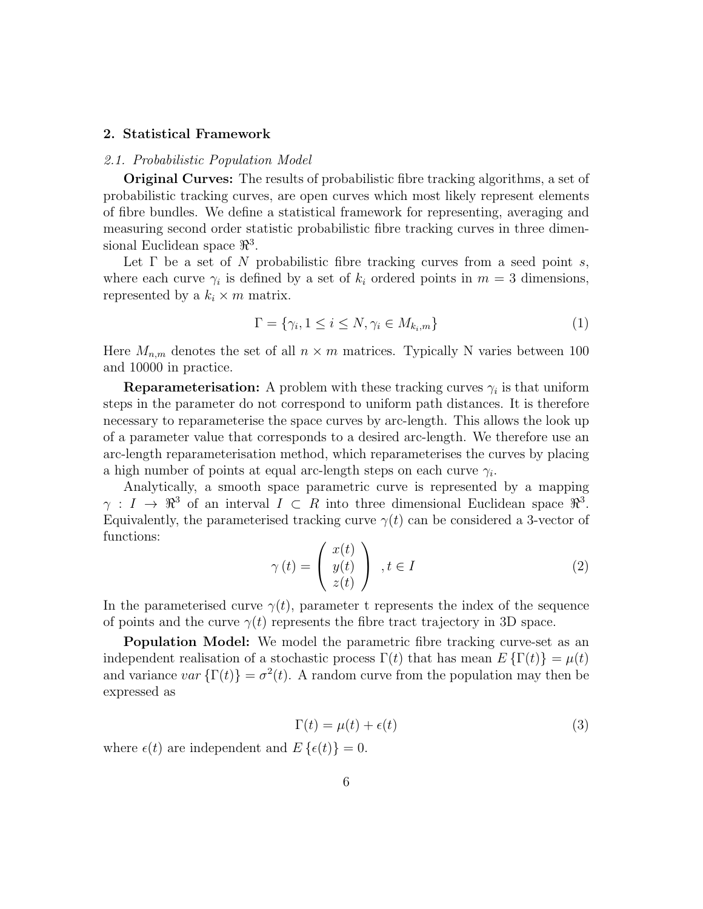#### 2. Statistical Framework

#### *2.1. Probabilistic Population Model*

Original Curves: The results of probabilistic fibre tracking algorithms, a set of probabilistic tracking curves, are open curves which most likely represent elements of fibre bundles. We define a statistical framework for representing, averaging and measuring second order statistic probabilistic fibre tracking curves in three dimensional Euclidean space  $\mathbb{R}^3$ .

Let  $\Gamma$  be a set of N probabilistic fibre tracking curves from a seed point s, where each curve  $\gamma_i$  is defined by a set of  $k_i$  ordered points in  $m = 3$  dimensions, represented by a  $k_i \times m$  matrix.

$$
\Gamma = \{ \gamma_i, 1 \le i \le N, \gamma_i \in M_{k_i, m} \}
$$
\n
$$
(1)
$$

Here  $M_{n,m}$  denotes the set of all  $n \times m$  matrices. Typically N varies between 100 and 10000 in practice.

**Reparameterisation:** A problem with these tracking curves  $\gamma_i$  is that uniform steps in the parameter do not correspond to uniform path distances. It is therefore necessary to reparameterise the space curves by arc-length. This allows the look up of a parameter value that corresponds to a desired arc-length. We therefore use an arc-length reparameterisation method, which reparameterises the curves by placing a high number of points at equal arc-length steps on each curve  $\gamma_i$ .

Analytically, a smooth space parametric curve is represented by a mapping  $\gamma$ :  $I \to \mathbb{R}^3$  of an interval  $I \subset R$  into three dimensional Euclidean space  $\mathbb{R}^3$ . Equivalently, the parameterised tracking curve  $\gamma(t)$  can be considered a 3-vector of functions:

$$
\gamma(t) = \begin{pmatrix} x(t) \\ y(t) \\ z(t) \end{pmatrix}, t \in I \tag{2}
$$

In the parameterised curve  $\gamma(t)$ , parameter t represents the index of the sequence of points and the curve  $\gamma(t)$  represents the fibre tract trajectory in 3D space.

Population Model: We model the parametric fibre tracking curve-set as an independent realisation of a stochastic process  $\Gamma(t)$  that has mean  $E\{\Gamma(t)\} = \mu(t)$ and variance  $var\{\Gamma(t)\} = \sigma^2(t)$ . A random curve from the population may then be expressed as

$$
\Gamma(t) = \mu(t) + \epsilon(t) \tag{3}
$$

where  $\epsilon(t)$  are independent and  $E\{\epsilon(t)\}=0$ .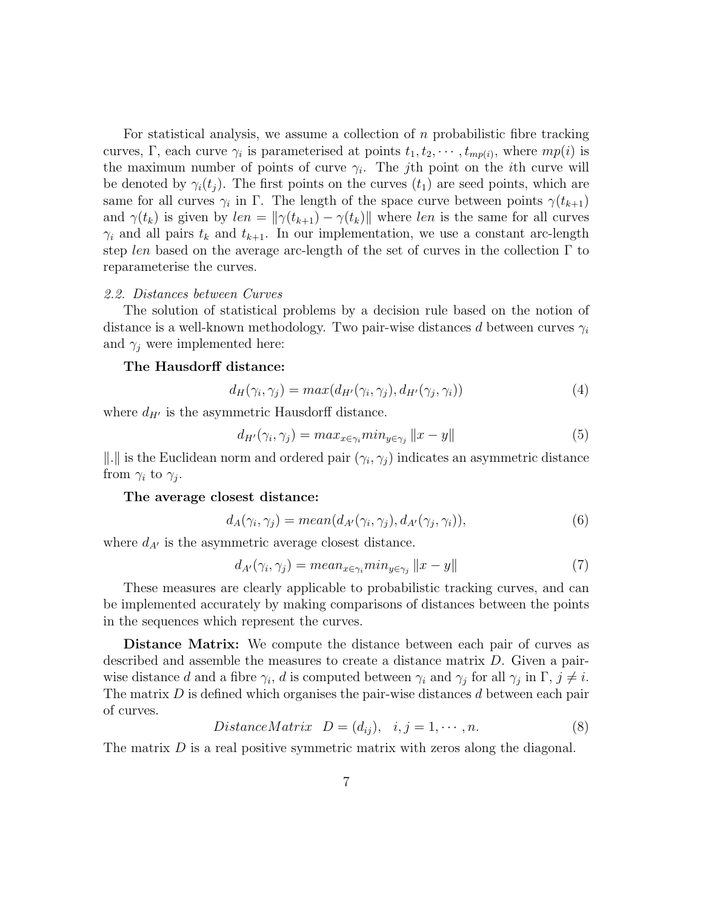For statistical analysis, we assume a collection of  $n$  probabilistic fibre tracking curves, Γ, each curve  $\gamma_i$  is parameterised at points  $t_1, t_2, \cdots, t_{mp(i)}$ , where  $mp(i)$  is the maximum number of points of curve  $\gamma_i$ . The *j*th point on the *i*th curve will be denoted by  $\gamma_i(t_i)$ . The first points on the curves  $(t_1)$  are seed points, which are same for all curves  $\gamma_i$  in  $\Gamma$ . The length of the space curve between points  $\gamma(t_{k+1})$ and  $\gamma(t_k)$  is given by  $len = ||\gamma(t_{k+1}) - \gamma(t_k)||$  where len is the same for all curves  $\gamma_i$  and all pairs  $t_k$  and  $t_{k+1}$ . In our implementation, we use a constant arc-length step len based on the average arc-length of the set of curves in the collection  $\Gamma$  to reparameterise the curves.

#### *2.2. Distances between Curves*

The solution of statistical problems by a decision rule based on the notion of distance is a well-known methodology. Two pair-wise distances d between curves  $\gamma_i$ and  $\gamma_j$  were implemented here:

#### The Hausdorff distance:

$$
d_H(\gamma_i, \gamma_j) = max(d_{H'}(\gamma_i, \gamma_j), d_{H'}(\gamma_j, \gamma_i))
$$
\n<sup>(4)</sup>

where  $d_{H'}$  is the asymmetric Hausdorff distance.

$$
d_{H'}(\gamma_i, \gamma_j) = \max_{x \in \gamma_i} \min_{y \in \gamma_j} ||x - y|| \tag{5}
$$

||.|| is the Euclidean norm and ordered pair  $(\gamma_i, \gamma_j)$  indicates an asymmetric distance from  $\gamma_i$  to  $\gamma_j$ .

#### The average closest distance:

$$
d_A(\gamma_i, \gamma_j) = mean(d_{A'}(\gamma_i, \gamma_j), d_{A'}(\gamma_j, \gamma_i)), \qquad (6)
$$

where  $d_{A'}$  is the asymmetric average closest distance.

$$
d_{A'}(\gamma_i, \gamma_j) = mean_{x \in \gamma_i} min_{y \in \gamma_j} ||x - y|| \tag{7}
$$

These measures are clearly applicable to probabilistic tracking curves, and can be implemented accurately by making comparisons of distances between the points in the sequences which represent the curves.

Distance Matrix: We compute the distance between each pair of curves as described and assemble the measures to create a distance matrix D. Given a pairwise distance d and a fibre  $\gamma_i$ , d is computed between  $\gamma_i$  and  $\gamma_j$  for all  $\gamma_j$  in  $\Gamma$ ,  $j \neq i$ . The matrix  $D$  is defined which organises the pair-wise distances  $d$  between each pair of curves.

Distance Matrix  $D = (d_{ij}), i, j = 1, \cdots, n.$  (8)

The matrix  $D$  is a real positive symmetric matrix with zeros along the diagonal.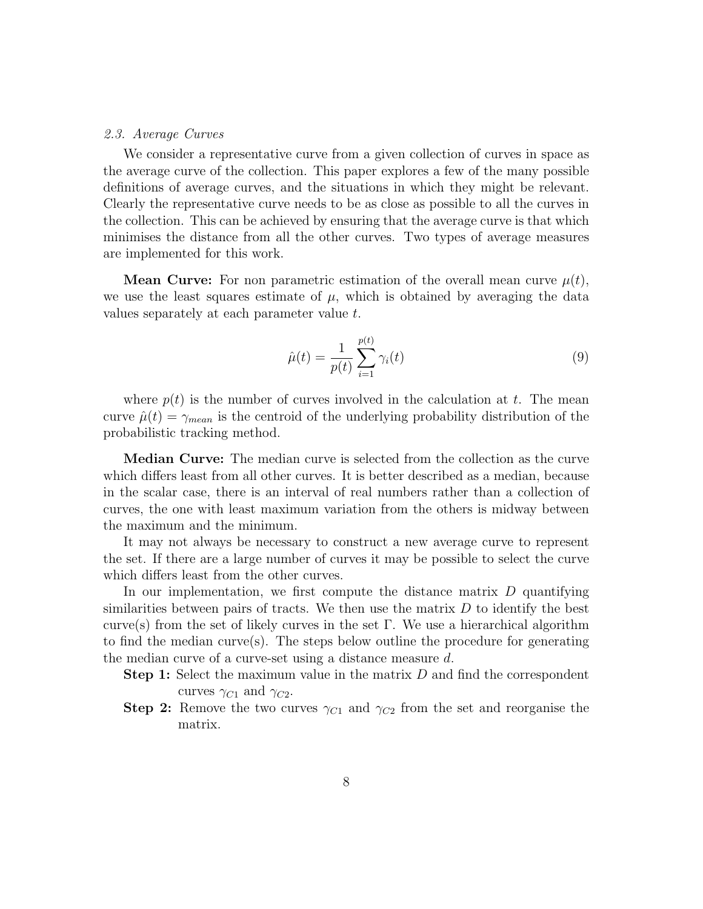#### *2.3. Average Curves*

We consider a representative curve from a given collection of curves in space as the average curve of the collection. This paper explores a few of the many possible definitions of average curves, and the situations in which they might be relevant. Clearly the representative curve needs to be as close as possible to all the curves in the collection. This can be achieved by ensuring that the average curve is that which minimises the distance from all the other curves. Two types of average measures are implemented for this work.

**Mean Curve:** For non parametric estimation of the overall mean curve  $\mu(t)$ , we use the least squares estimate of  $\mu$ , which is obtained by averaging the data values separately at each parameter value t.

$$
\hat{\mu}(t) = \frac{1}{p(t)} \sum_{i=1}^{p(t)} \gamma_i(t) \tag{9}
$$

where  $p(t)$  is the number of curves involved in the calculation at t. The mean curve  $\hat{\mu}(t) = \gamma_{mean}$  is the centroid of the underlying probability distribution of the probabilistic tracking method.

Median Curve: The median curve is selected from the collection as the curve which differs least from all other curves. It is better described as a median, because in the scalar case, there is an interval of real numbers rather than a collection of curves, the one with least maximum variation from the others is midway between the maximum and the minimum.

It may not always be necessary to construct a new average curve to represent the set. If there are a large number of curves it may be possible to select the curve which differs least from the other curves.

In our implementation, we first compute the distance matrix  $D$  quantifying similarities between pairs of tracts. We then use the matrix  $D$  to identify the best curve(s) from the set of likely curves in the set Γ. We use a hierarchical algorithm to find the median curve(s). The steps below outline the procedure for generating the median curve of a curve-set using a distance measure d.

- **Step 1:** Select the maximum value in the matrix  $D$  and find the correspondent curves  $\gamma_{C1}$  and  $\gamma_{C2}$ .
- **Step 2:** Remove the two curves  $\gamma_{C1}$  and  $\gamma_{C2}$  from the set and reorganise the matrix.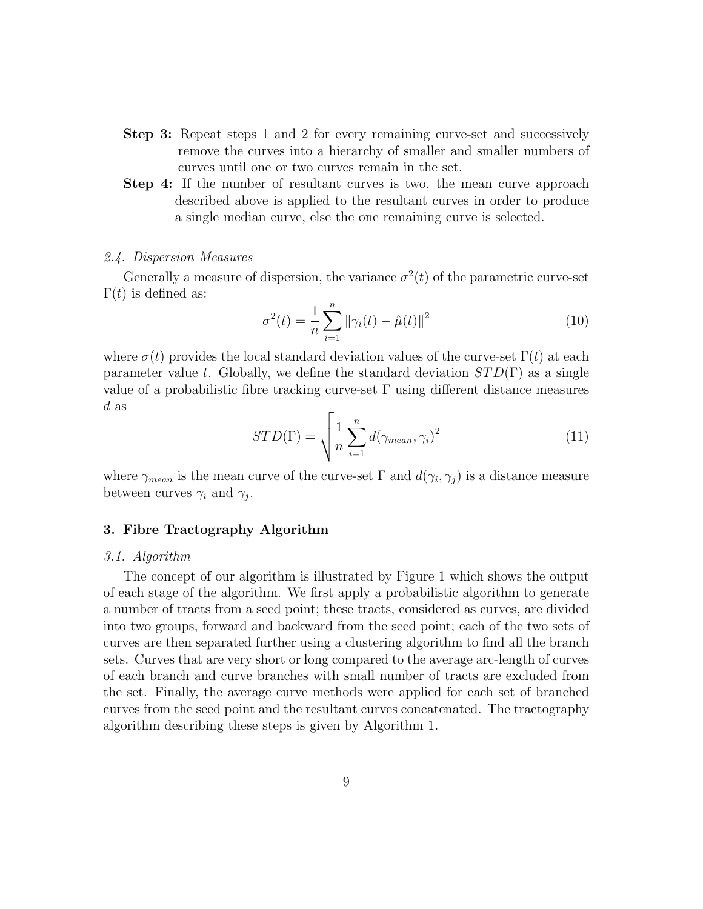- Step 3: Repeat steps 1 and 2 for every remaining curve-set and successively remove the curves into a hierarchy of smaller and smaller numbers of curves until one or two curves remain in the set.
- Step 4: If the number of resultant curves is two, the mean curve approach described above is applied to the resultant curves in order to produce a single median curve, else the one remaining curve is selected.

#### *2.4. Dispersion Measures*

Generally a measure of dispersion, the variance  $\sigma^2(t)$  of the parametric curve-set  $\Gamma(t)$  is defined as:

$$
\sigma^{2}(t) = \frac{1}{n} \sum_{i=1}^{n} ||\gamma_{i}(t) - \hat{\mu}(t)||^{2}
$$
\n(10)

where  $\sigma(t)$  provides the local standard deviation values of the curve-set  $\Gamma(t)$  at each parameter value t. Globally, we define the standard deviation  $STD(\Gamma)$  as a single value of a probabilistic fibre tracking curve-set  $\Gamma$  using different distance measures d as

$$
STD(\Gamma) = \sqrt{\frac{1}{n} \sum_{i=1}^{n} d(\gamma_{mean}, \gamma_i)^2}
$$
 (11)

where  $\gamma_{mean}$  is the mean curve of the curve-set  $\Gamma$  and  $d(\gamma_i, \gamma_j)$  is a distance measure between curves  $\gamma_i$  and  $\gamma_j$ .

#### 3. Fibre Tractography Algorithm

#### *3.1. Algorithm*

The concept of our algorithm is illustrated by Figure 1 which shows the output of each stage of the algorithm. We first apply a probabilistic algorithm to generate a number of tracts from a seed point; these tracts, considered as curves, are divided into two groups, forward and backward from the seed point; each of the two sets of curves are then separated further using a clustering algorithm to find all the branch sets. Curves that are very short or long compared to the average arc-length of curves of each branch and curve branches with small number of tracts are excluded from the set. Finally, the average curve methods were applied for each set of branched curves from the seed point and the resultant curves concatenated. The tractography algorithm describing these steps is given by Algorithm 1.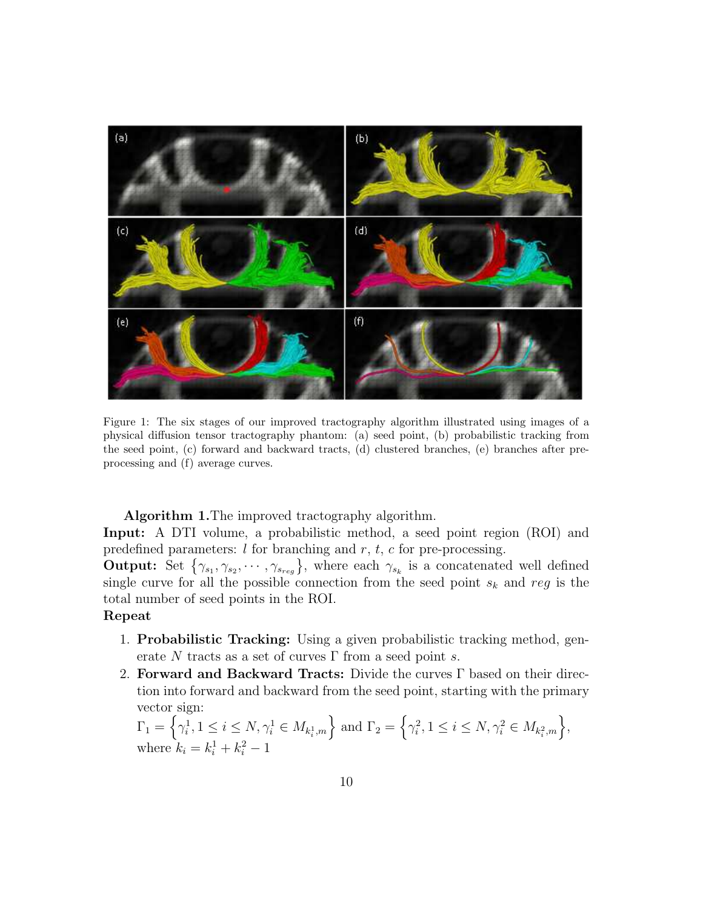

Figure 1: The six stages of our improved tractography algorithm illustrated using images of a physical diffusion tensor tractography phantom: (a) seed point, (b) probabilistic tracking from the seed point, (c) forward and backward tracts, (d) clustered branches, (e) branches after preprocessing and (f) average curves.

Algorithm 1.The improved tractography algorithm.

Input: A DTI volume, a probabilistic method, a seed point region (ROI) and predefined parameters:  $l$  for branching and  $r$ ,  $t$ ,  $c$  for pre-processing.

**Output:** Set  $\{\gamma_{s_1}, \gamma_{s_2}, \cdots, \gamma_{s_{reg}}\}$ , where each  $\gamma_{s_k}$  is a concatenated well defined single curve for all the possible connection from the seed point  $s_k$  and reg is the total number of seed points in the ROI.

#### Repeat

- 1. Probabilistic Tracking: Using a given probabilistic tracking method, generate N tracts as a set of curves  $\Gamma$  from a seed point s.
- 2. Forward and Backward Tracts: Divide the curves  $\Gamma$  based on their direction into forward and backward from the seed point, starting with the primary vector sign:

$$
\Gamma_1 = \left\{ \gamma_i^1, 1 \le i \le N, \gamma_i^1 \in M_{k_i^1, m} \right\} \text{ and } \Gamma_2 = \left\{ \gamma_i^2, 1 \le i \le N, \gamma_i^2 \in M_{k_i^2, m} \right\},\
$$
 where  $k_i = k_i^1 + k_i^2 - 1$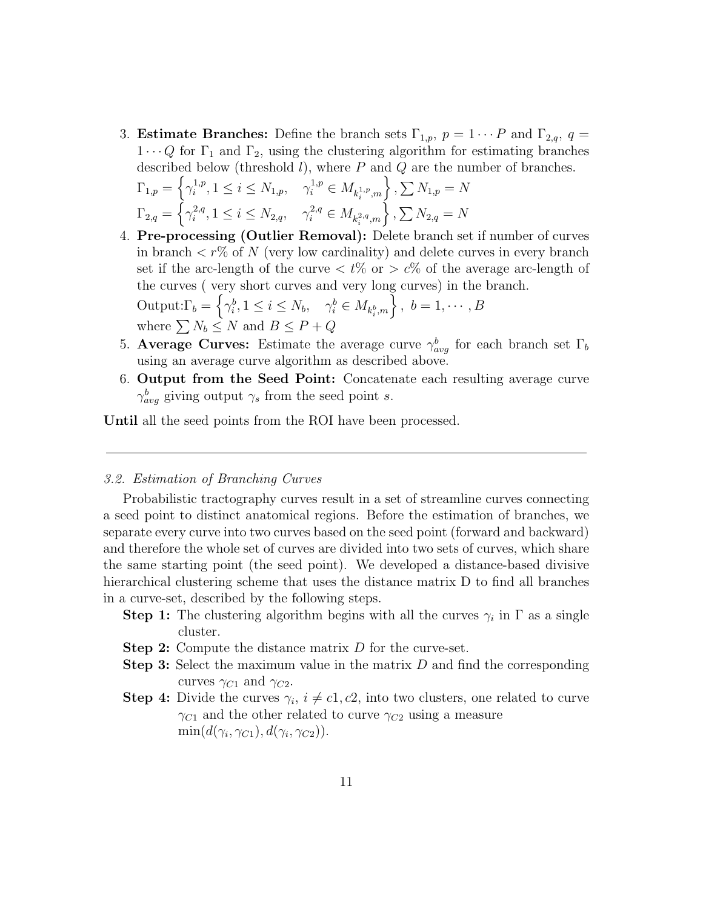3. **Estimate Branches:** Define the branch sets  $\Gamma_{1,p}$ ,  $p = 1 \cdots P$  and  $\Gamma_{2,q}$ ,  $q =$  $1 \cdots Q$  for  $\Gamma_1$  and  $\Gamma_2$ , using the clustering algorithm for estimating branches described below (threshold  $l$ ), where  $P$  and  $Q$  are the number of branches.

$$
\Gamma_{1,p} = \left\{ \gamma_i^{1,p}, 1 \le i \le N_{1,p}, \quad \gamma_i^{1,p} \in M_{k_i^{1,p},m} \right\}, \sum N_{1,p} = N
$$
  

$$
\Gamma_{2,q} = \left\{ \gamma_i^{2,q}, 1 \le i \le N_{2,q}, \quad \gamma_i^{2,q} \in M_{k_i^{2,q},m} \right\}, \sum N_{2,q} = N
$$

4. Pre-processing (Outlier Removal): Delete branch set if number of curves in branch  $\langle r\%$  of N (very low cardinality) and delete curves in every branch set if the arc-length of the curve  $\langle t \rangle$  or  $\langle t \rangle$  or  $\langle t \rangle$  of the average arc-length of the curves ( very short curves and very long curves) in the branch.

 $\text{Output:} \Gamma_b = \left\{ \gamma_i^b, 1 \leq i \leq N_b, \quad \gamma_i^b \in M_{k_i^b, m} \right\}, \,\, b = 1, \cdots, B$ where  $\sum N_b \le N$  and  $B \le P + Q$ 

- 5. Average Curves: Estimate the average curve  $\gamma_{avg}^b$  for each branch set  $\Gamma_b$ using an average curve algorithm as described above.
- 6. Output from the Seed Point: Concatenate each resulting average curve  $\gamma_{avg}^{b}$  giving output  $\gamma_{s}$  from the seed point s.

Until all the seed points from the ROI have been processed.

#### *3.2. Estimation of Branching Curves*

Probabilistic tractography curves result in a set of streamline curves connecting a seed point to distinct anatomical regions. Before the estimation of branches, we separate every curve into two curves based on the seed point (forward and backward) and therefore the whole set of curves are divided into two sets of curves, which share the same starting point (the seed point). We developed a distance-based divisive hierarchical clustering scheme that uses the distance matrix D to find all branches in a curve-set, described by the following steps.

- **Step 1:** The clustering algorithm begins with all the curves  $\gamma_i$  in  $\Gamma$  as a single cluster.
- **Step 2:** Compute the distance matrix D for the curve-set.
- **Step 3:** Select the maximum value in the matrix  $D$  and find the corresponding curves  $\gamma_{C1}$  and  $\gamma_{C2}$ .
- **Step 4:** Divide the curves  $\gamma_i$ ,  $i \neq c_1, c_2$ , into two clusters, one related to curve  $\gamma_{C1}$  and the other related to curve  $\gamma_{C2}$  using a measure  $\min(d(\gamma_i, \gamma_{C1}), d(\gamma_i, \gamma_{C2})).$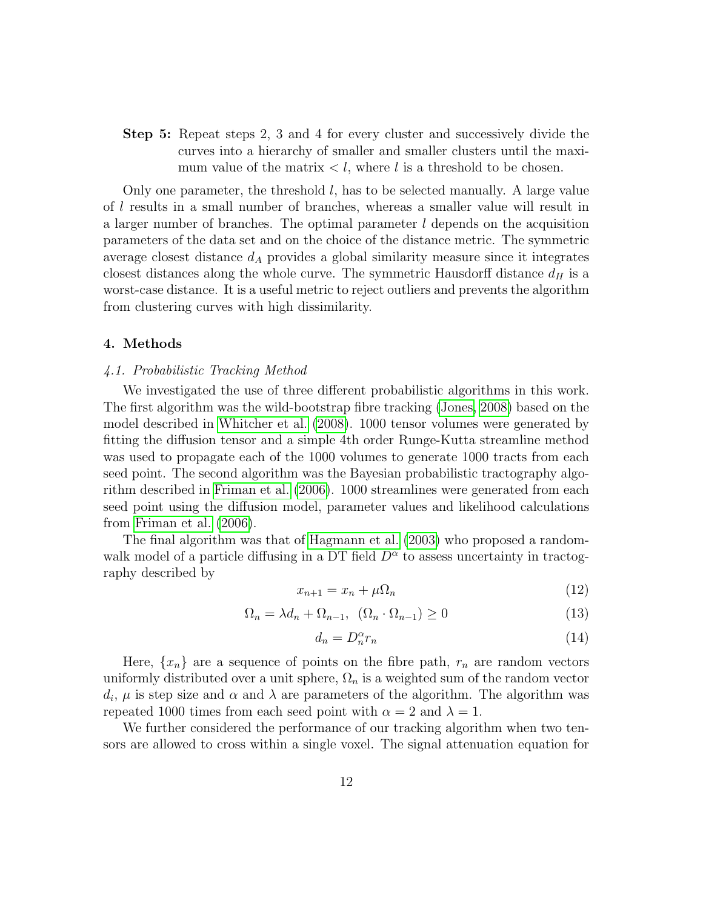Step 5: Repeat steps 2, 3 and 4 for every cluster and successively divide the curves into a hierarchy of smaller and smaller clusters until the maximum value of the matrix  $\langle l, \text{where } l \text{ is a threshold to be chosen.}$ 

Only one parameter, the threshold  $l$ , has to be selected manually. A large value of l results in a small number of branches, whereas a smaller value will result in a larger number of branches. The optimal parameter l depends on the acquisition parameters of the data set and on the choice of the distance metric. The symmetric average closest distance  $d_A$  provides a global similarity measure since it integrates closest distances along the whole curve. The symmetric Hausdorff distance  $d_H$  is a worst-case distance. It is a useful metric to reject outliers and prevents the algorithm from clustering curves with high dissimilarity.

#### 4. Methods

#### *4.1. Probabilistic Tracking Method*

We investigated the use of three different probabilistic algorithms in this work. The first algorithm was the wild-bootstrap fibre tracking [\(Jones, 2008\)](#page-25-3) based on the model described in [Whitcher et al. \(2008\)](#page-27-4). 1000 tensor volumes were generated by fitting the diffusion tensor and a simple 4th order Runge-Kutta streamline method was used to propagate each of the 1000 volumes to generate 1000 tracts from each seed point. The second algorithm was the Bayesian probabilistic tractography algorithm described in [Friman et al. \(2006\)](#page-25-1). 1000 streamlines were generated from each seed point using the diffusion model, parameter values and likelihood calculations from [Friman et al. \(2006\)](#page-25-1).

The final algorithm was that of [Hagmann et al. \(2003\)](#page-25-2) who proposed a randomwalk model of a particle diffusing in a DT field  $D^{\alpha}$  to assess uncertainty in tractography described by

$$
x_{n+1} = x_n + \mu \Omega_n \tag{12}
$$

$$
\Omega_n = \lambda d_n + \Omega_{n-1}, \ (\Omega_n \cdot \Omega_{n-1}) \ge 0 \tag{13}
$$

$$
d_n = D_n^{\alpha} r_n \tag{14}
$$

Here,  $\{x_n\}$  are a sequence of points on the fibre path,  $r_n$  are random vectors uniformly distributed over a unit sphere,  $\Omega_n$  is a weighted sum of the random vector  $d_i$ ,  $\mu$  is step size and  $\alpha$  and  $\lambda$  are parameters of the algorithm. The algorithm was repeated 1000 times from each seed point with  $\alpha = 2$  and  $\lambda = 1$ .

We further considered the performance of our tracking algorithm when two tensors are allowed to cross within a single voxel. The signal attenuation equation for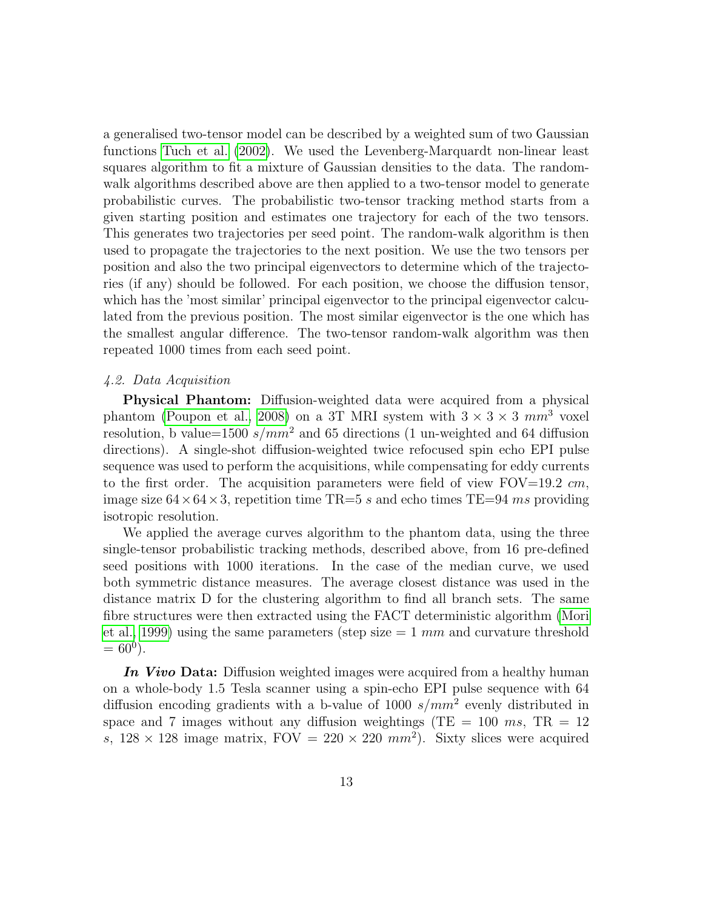a generalised two-tensor model can be described by a weighted sum of two Gaussian functions [Tuch et al. \(2002\)](#page-27-0). We used the Levenberg-Marquardt non-linear least squares algorithm to fit a mixture of Gaussian densities to the data. The randomwalk algorithms described above are then applied to a two-tensor model to generate probabilistic curves. The probabilistic two-tensor tracking method starts from a given starting position and estimates one trajectory for each of the two tensors. This generates two trajectories per seed point. The random-walk algorithm is then used to propagate the trajectories to the next position. We use the two tensors per position and also the two principal eigenvectors to determine which of the trajectories (if any) should be followed. For each position, we choose the diffusion tensor, which has the 'most similar' principal eigenvector to the principal eigenvector calculated from the previous position. The most similar eigenvector is the one which has the smallest angular difference. The two-tensor random-walk algorithm was then repeated 1000 times from each seed point.

#### *4.2. Data Acquisition*

Physical Phantom: Diffusion-weighted data were acquired from a physical phantom [\(Poupon et al., 2008\)](#page-26-8) on a 3T MRI system with  $3 \times 3 \times 3$  mm<sup>3</sup> voxel resolution, b value=1500 s/mm<sup>2</sup> and 65 directions (1 un-weighted and 64 diffusion directions). A single-shot diffusion-weighted twice refocused spin echo EPI pulse sequence was used to perform the acquisitions, while compensating for eddy currents to the first order. The acquisition parameters were field of view  $\text{FOV}=19.2 \text{ cm}$ , image size  $64 \times 64 \times 3$ , repetition time TR=5 s and echo times TE=94 ms providing isotropic resolution.

We applied the average curves algorithm to the phantom data, using the three single-tensor probabilistic tracking methods, described above, from 16 pre-defined seed positions with 1000 iterations. In the case of the median curve, we used both symmetric distance measures. The average closest distance was used in the distance matrix D for the clustering algorithm to find all branch sets. The same fibre structures were then extracted using the FACT deterministic algorithm [\(Mori](#page-26-0) [et al., 1999\)](#page-26-0) using the same parameters (step size  $= 1 \, mm$  and curvature threshold  $= 60^0$ ).

In Vivo Data: Diffusion weighted images were acquired from a healthy human on a whole-body 1.5 Tesla scanner using a spin-echo EPI pulse sequence with 64 diffusion encoding gradients with a b-value of  $1000 s/mm^2$  evenly distributed in space and 7 images without any diffusion weightings (TE = 100 ms, TR = 12 s,  $128 \times 128$  image matrix,  $FOV = 220 \times 220$  mm<sup>2</sup>). Sixty slices were acquired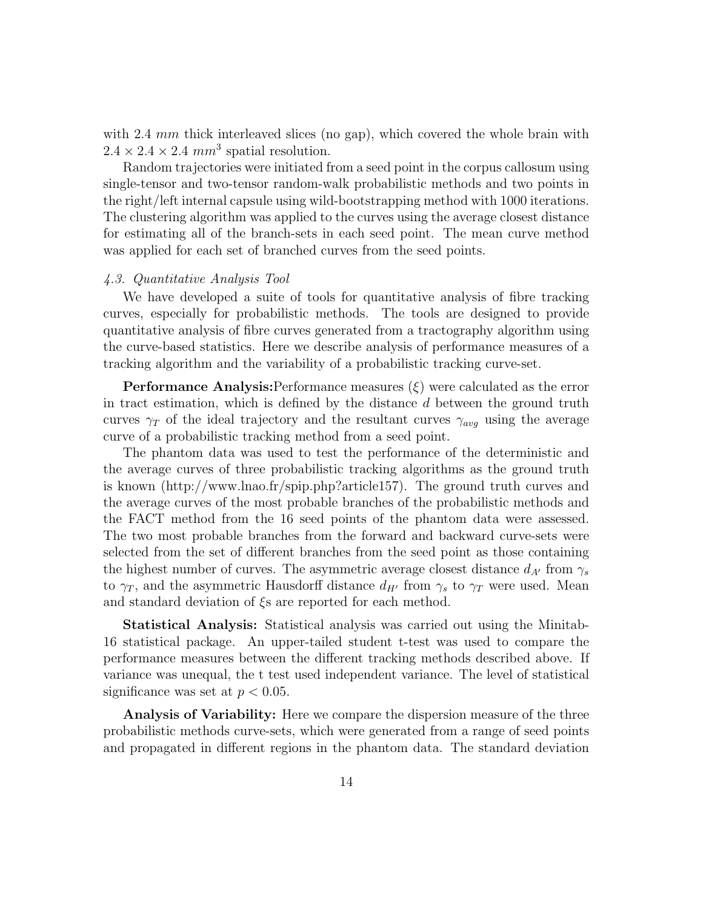with 2.4  $mm$  thick interleaved slices (no gap), which covered the whole brain with  $2.4 \times 2.4 \times 2.4$  mm<sup>3</sup> spatial resolution.

Random trajectories were initiated from a seed point in the corpus callosum using single-tensor and two-tensor random-walk probabilistic methods and two points in the right/left internal capsule using wild-bootstrapping method with 1000 iterations. The clustering algorithm was applied to the curves using the average closest distance for estimating all of the branch-sets in each seed point. The mean curve method was applied for each set of branched curves from the seed points.

#### *4.3. Quantitative Analysis Tool*

We have developed a suite of tools for quantitative analysis of fibre tracking curves, especially for probabilistic methods. The tools are designed to provide quantitative analysis of fibre curves generated from a tractography algorithm using the curve-based statistics. Here we describe analysis of performance measures of a tracking algorithm and the variability of a probabilistic tracking curve-set.

**Performance Analysis:**Performance measures  $(\xi)$  were calculated as the error in tract estimation, which is defined by the distance d between the ground truth curves  $\gamma_T$  of the ideal trajectory and the resultant curves  $\gamma_{avg}$  using the average curve of a probabilistic tracking method from a seed point.

The phantom data was used to test the performance of the deterministic and the average curves of three probabilistic tracking algorithms as the ground truth is known (http://www.lnao.fr/spip.php?article157). The ground truth curves and the average curves of the most probable branches of the probabilistic methods and the FACT method from the 16 seed points of the phantom data were assessed. The two most probable branches from the forward and backward curve-sets were selected from the set of different branches from the seed point as those containing the highest number of curves. The asymmetric average closest distance  $d_{A'}$  from  $\gamma_s$ to  $\gamma_T$ , and the asymmetric Hausdorff distance  $d_{H'}$  from  $\gamma_s$  to  $\gamma_T$  were used. Mean and standard deviation of ξs are reported for each method.

Statistical Analysis: Statistical analysis was carried out using the Minitab-16 statistical package. An upper-tailed student t-test was used to compare the performance measures between the different tracking methods described above. If variance was unequal, the t test used independent variance. The level of statistical significance was set at  $p < 0.05$ .

Analysis of Variability: Here we compare the dispersion measure of the three probabilistic methods curve-sets, which were generated from a range of seed points and propagated in different regions in the phantom data. The standard deviation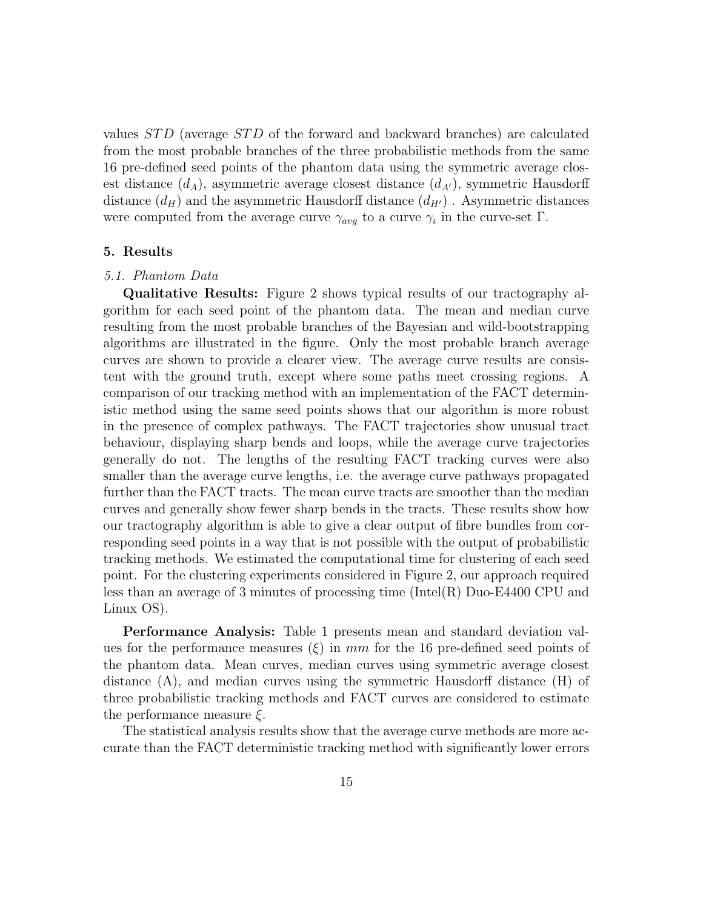values *STD* (average *STD* of the forward and backward branches) are calculated from the most probable branches of the three probabilistic methods from the same 16 pre-defined seed points of the phantom data using the symmetric average closest distance  $(d_A)$ , asymmetric average closest distance  $(d_{A'})$ , symmetric Hausdorff distance  $(d_H)$  and the asymmetric Hausdorff distance  $(d_{H'})$ . Asymmetric distances were computed from the average curve  $\gamma_{avg}$  to a curve  $\gamma_i$  in the curve-set  $\Gamma$ .

#### 5. Results

#### *5.1. Phantom Data*

Qualitative Results: Figure 2 shows typical results of our tractography algorithm for each seed point of the phantom data. The mean and median curve resulting from the most probable branches of the Bayesian and wild-bootstrapping algorithms are illustrated in the figure. Only the most probable branch average curves are shown to provide a clearer view. The average curve results are consistent with the ground truth, except where some paths meet crossing regions. A comparison of our tracking method with an implementation of the FACT deterministic method using the same seed points shows that our algorithm is more robust in the presence of complex pathways. The FACT trajectories show unusual tract behaviour, displaying sharp bends and loops, while the average curve trajectories generally do not. The lengths of the resulting FACT tracking curves were also smaller than the average curve lengths, i.e. the average curve pathways propagated further than the FACT tracts. The mean curve tracts are smoother than the median curves and generally show fewer sharp bends in the tracts. These results show how our tractography algorithm is able to give a clear output of fibre bundles from corresponding seed points in a way that is not possible with the output of probabilistic tracking methods. We estimated the computational time for clustering of each seed point. For the clustering experiments considered in Figure 2, our approach required less than an average of 3 minutes of processing time (Intel(R) Duo-E4400 CPU and Linux OS).

Performance Analysis: Table 1 presents mean and standard deviation values for the performance measures  $(\xi)$  in mm for the 16 pre-defined seed points of the phantom data. Mean curves, median curves using symmetric average closest distance (A), and median curves using the symmetric Hausdorff distance (H) of three probabilistic tracking methods and FACT curves are considered to estimate the performance measure  $\xi$ .

The statistical analysis results show that the average curve methods are more accurate than the FACT deterministic tracking method with significantly lower errors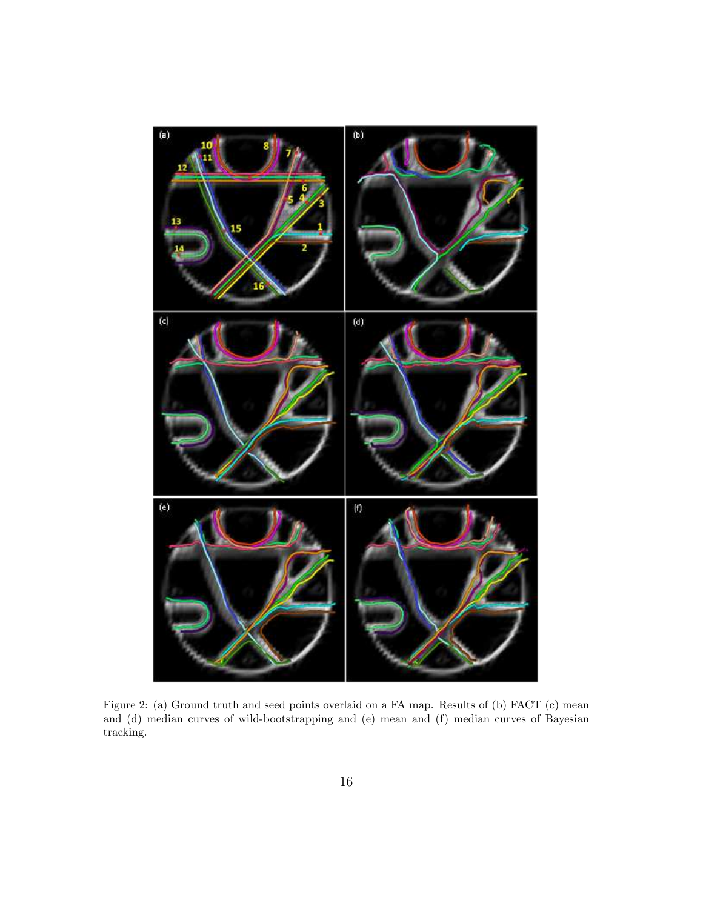

Figure 2: (a) Ground truth and seed points overlaid on a FA map. Results of (b) FACT (c) mean and (d) median curves of wild-bootstrapping and (e) mean and (f) median curves of Bayesian tracking.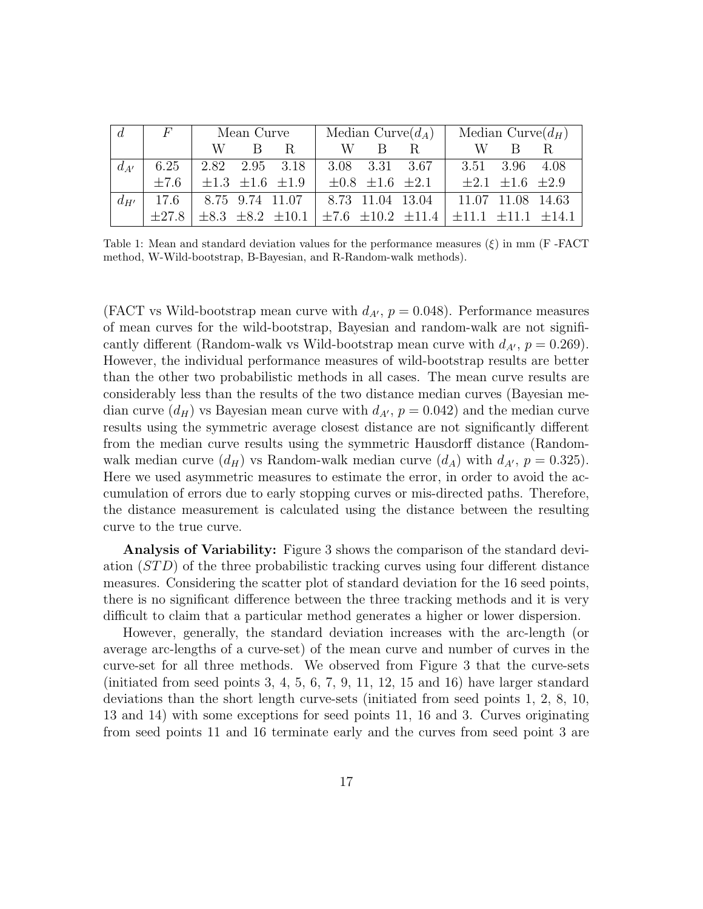| d        | F | Mean Curve                                | Median Curve $(d_A)$          | Median Curve $(d_H)$                                                                                       |
|----------|---|-------------------------------------------|-------------------------------|------------------------------------------------------------------------------------------------------------|
|          |   | W B R                                     | W B R                         | W B R                                                                                                      |
| $d_{A'}$ |   | $6.25$   2.82 2.95 3.18                   | 3.08 3.31 3.67                | 3.51 3.96 4.08                                                                                             |
|          |   | $\pm 7.6$   $\pm 1.3$ $\pm 1.6$ $\pm 1.9$ | $\pm 0.8$ $\pm 1.6$ $\pm 2.1$ | $\pm 2.1 \pm 1.6 \pm 2.9$                                                                                  |
| $d_{H'}$ |   | $17.6$   8.75 9.74 11.07                  |                               |                                                                                                            |
|          |   |                                           |                               | $\pm 27.8$ $\pm 8.3$ $\pm 8.2$ $\pm 10.1$ $\pm 7.6$ $\pm 10.2$ $\pm 11.4$ $\pm 11.1$ $\pm 11.1$ $\pm 14.1$ |

Table 1: Mean and standard deviation values for the performance measures  $(\xi)$  in mm (F -FACT) method, W-Wild-bootstrap, B-Bayesian, and R-Random-walk methods).

(FACT vs Wild-bootstrap mean curve with  $d_{A'}$ ,  $p = 0.048$ ). Performance measures of mean curves for the wild-bootstrap, Bayesian and random-walk are not significantly different (Random-walk vs Wild-bootstrap mean curve with  $d_{A'}$ ,  $p = 0.269$ ). However, the individual performance measures of wild-bootstrap results are better than the other two probabilistic methods in all cases. The mean curve results are considerably less than the results of the two distance median curves (Bayesian median curve  $(d_H)$  vs Bayesian mean curve with  $d_{A'}$ ,  $p = 0.042$ ) and the median curve results using the symmetric average closest distance are not significantly different from the median curve results using the symmetric Hausdorff distance (Randomwalk median curve  $(d_H)$  vs Random-walk median curve  $(d_A)$  with  $d_{A'}$ ,  $p = 0.325$ ). Here we used asymmetric measures to estimate the error, in order to avoid the accumulation of errors due to early stopping curves or mis-directed paths. Therefore, the distance measurement is calculated using the distance between the resulting curve to the true curve.

Analysis of Variability: Figure 3 shows the comparison of the standard deviation  $(STD)$  of the three probabilistic tracking curves using four different distance measures. Considering the scatter plot of standard deviation for the 16 seed points, there is no significant difference between the three tracking methods and it is very difficult to claim that a particular method generates a higher or lower dispersion.

However, generally, the standard deviation increases with the arc-length (or average arc-lengths of a curve-set) of the mean curve and number of curves in the curve-set for all three methods. We observed from Figure 3 that the curve-sets (initiated from seed points  $3, 4, 5, 6, 7, 9, 11, 12, 15,$  and  $16$ ) have larger standard deviations than the short length curve-sets (initiated from seed points 1, 2, 8, 10, 13 and 14) with some exceptions for seed points 11, 16 and 3. Curves originating from seed points 11 and 16 terminate early and the curves from seed point 3 are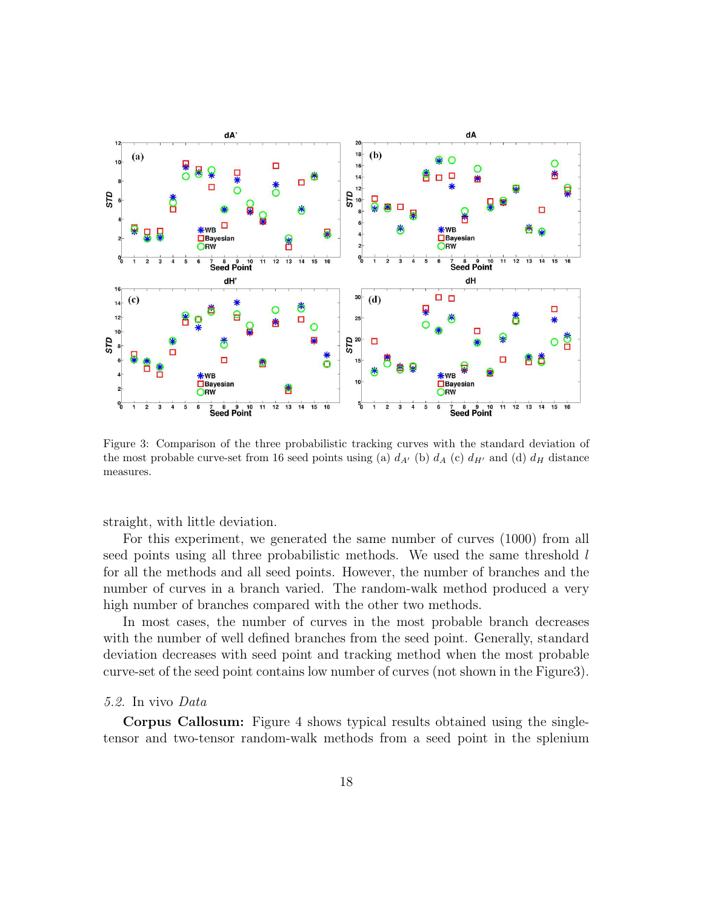

Figure 3: Comparison of the three probabilistic tracking curves with the standard deviation of the most probable curve-set from 16 seed points using (a)  $d_{A'}$  (b)  $d_A$  (c)  $d_{H'}$  and (d)  $d_H$  distance measures.

straight, with little deviation.

For this experiment, we generated the same number of curves (1000) from all seed points using all three probabilistic methods. We used the same threshold l for all the methods and all seed points. However, the number of branches and the number of curves in a branch varied. The random-walk method produced a very high number of branches compared with the other two methods.

In most cases, the number of curves in the most probable branch decreases with the number of well defined branches from the seed point. Generally, standard deviation decreases with seed point and tracking method when the most probable curve-set of the seed point contains low number of curves (not shown in the Figure3).

#### *5.2.* In vivo *Data*

Corpus Callosum: Figure 4 shows typical results obtained using the singletensor and two-tensor random-walk methods from a seed point in the splenium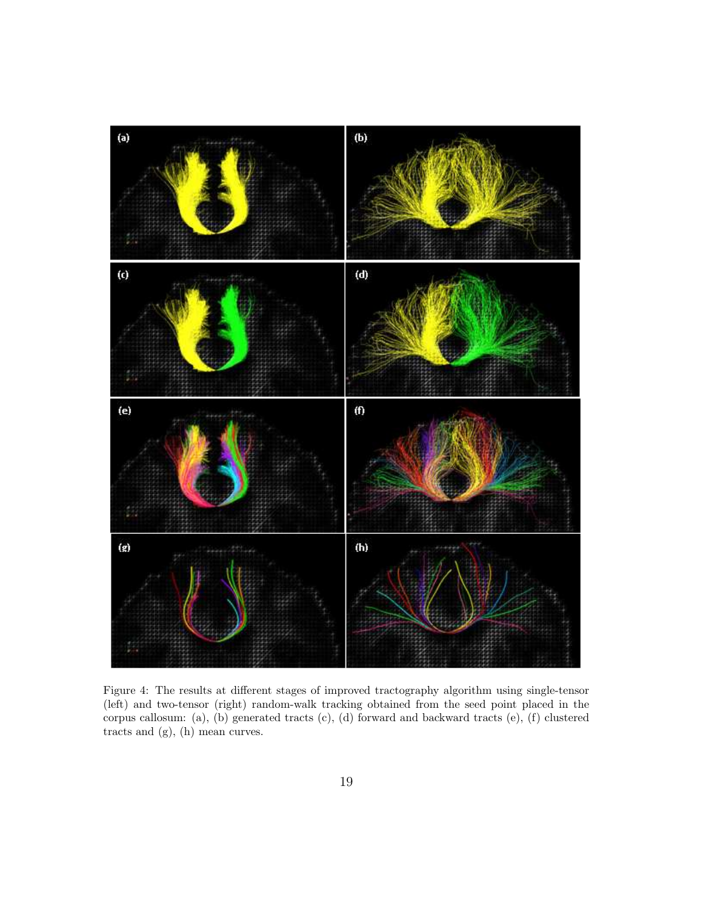

Figure 4: The results at different stages of improved tractography algorithm using single-tensor (left) and two-tensor (right) random-walk tracking obtained from the seed point placed in the corpus callosum: (a), (b) generated tracts (c), (d) forward and backward tracts (e), (f) clustered tracts and (g), (h) mean curves.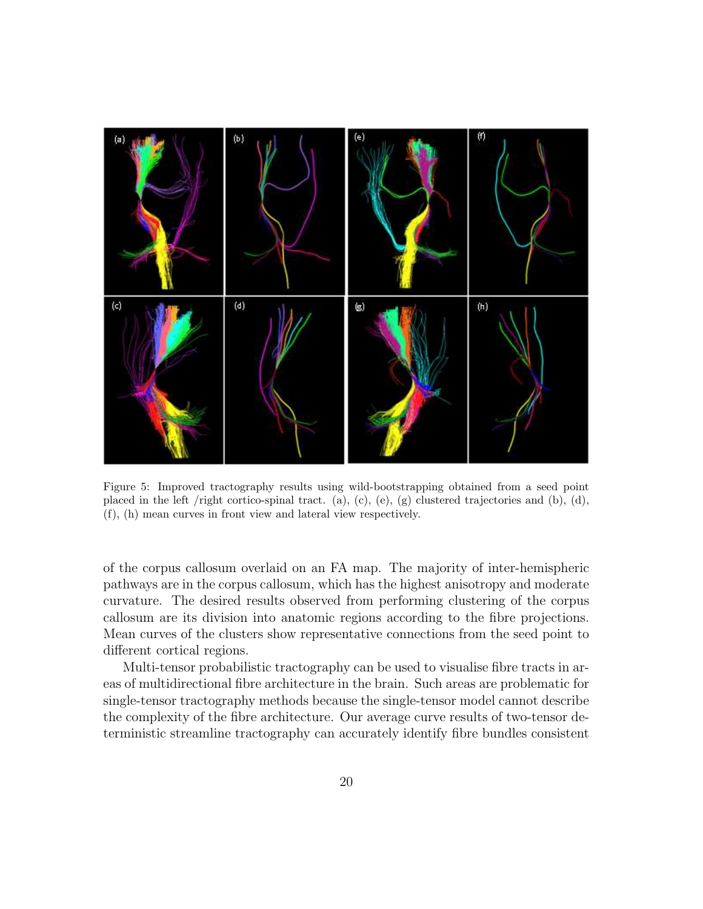

Figure 5: Improved tractography results using wild-bootstrapping obtained from a seed point placed in the left /right cortico-spinal tract. (a), (c), (e), (g) clustered trajectories and (b), (d), (f), (h) mean curves in front view and lateral view respectively.

of the corpus callosum overlaid on an FA map. The majority of inter-hemispheric pathways are in the corpus callosum, which has the highest anisotropy and moderate curvature. The desired results observed from performing clustering of the corpus callosum are its division into anatomic regions according to the fibre projections. Mean curves of the clusters show representative connections from the seed point to different cortical regions.

Multi-tensor probabilistic tractography can be used to visualise fibre tracts in areas of multidirectional fibre architecture in the brain. Such areas are problematic for single-tensor tractography methods because the single-tensor model cannot describe the complexity of the fibre architecture. Our average curve results of two-tensor deterministic streamline tractography can accurately identify fibre bundles consistent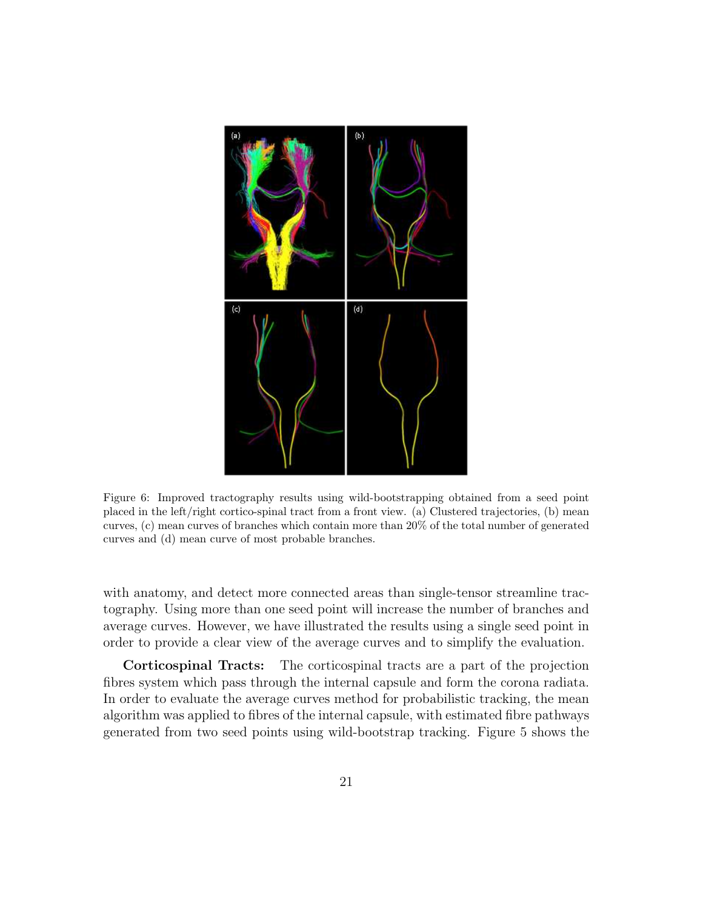

Figure 6: Improved tractography results using wild-bootstrapping obtained from a seed point placed in the left/right cortico-spinal tract from a front view. (a) Clustered trajectories, (b) mean curves, (c) mean curves of branches which contain more than 20% of the total number of generated curves and (d) mean curve of most probable branches.

with anatomy, and detect more connected areas than single-tensor streamline tractography. Using more than one seed point will increase the number of branches and average curves. However, we have illustrated the results using a single seed point in order to provide a clear view of the average curves and to simplify the evaluation.

Corticospinal Tracts: The corticospinal tracts are a part of the projection fibres system which pass through the internal capsule and form the corona radiata. In order to evaluate the average curves method for probabilistic tracking, the mean algorithm was applied to fibres of the internal capsule, with estimated fibre pathways generated from two seed points using wild-bootstrap tracking. Figure 5 shows the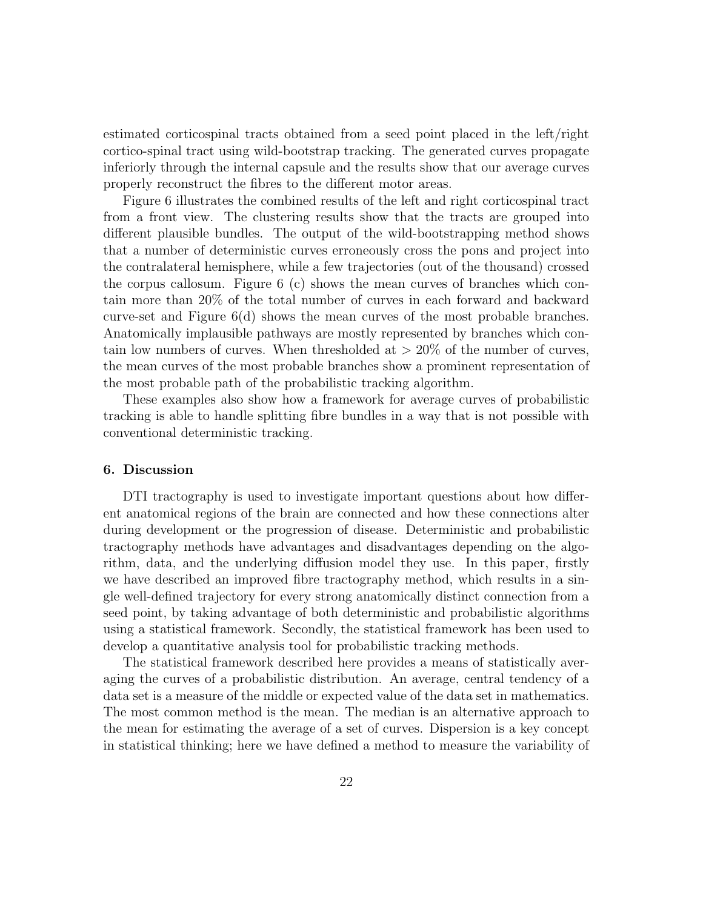estimated corticospinal tracts obtained from a seed point placed in the left/right cortico-spinal tract using wild-bootstrap tracking. The generated curves propagate inferiorly through the internal capsule and the results show that our average curves properly reconstruct the fibres to the different motor areas.

Figure 6 illustrates the combined results of the left and right corticospinal tract from a front view. The clustering results show that the tracts are grouped into different plausible bundles. The output of the wild-bootstrapping method shows that a number of deterministic curves erroneously cross the pons and project into the contralateral hemisphere, while a few trajectories (out of the thousand) crossed the corpus callosum. Figure 6 (c) shows the mean curves of branches which contain more than 20% of the total number of curves in each forward and backward curve-set and Figure 6(d) shows the mean curves of the most probable branches. Anatomically implausible pathways are mostly represented by branches which contain low numbers of curves. When thresholded at  $> 20\%$  of the number of curves, the mean curves of the most probable branches show a prominent representation of the most probable path of the probabilistic tracking algorithm.

These examples also show how a framework for average curves of probabilistic tracking is able to handle splitting fibre bundles in a way that is not possible with conventional deterministic tracking.

#### 6. Discussion

DTI tractography is used to investigate important questions about how different anatomical regions of the brain are connected and how these connections alter during development or the progression of disease. Deterministic and probabilistic tractography methods have advantages and disadvantages depending on the algorithm, data, and the underlying diffusion model they use. In this paper, firstly we have described an improved fibre tractography method, which results in a single well-defined trajectory for every strong anatomically distinct connection from a seed point, by taking advantage of both deterministic and probabilistic algorithms using a statistical framework. Secondly, the statistical framework has been used to develop a quantitative analysis tool for probabilistic tracking methods.

The statistical framework described here provides a means of statistically averaging the curves of a probabilistic distribution. An average, central tendency of a data set is a measure of the middle or expected value of the data set in mathematics. The most common method is the mean. The median is an alternative approach to the mean for estimating the average of a set of curves. Dispersion is a key concept in statistical thinking; here we have defined a method to measure the variability of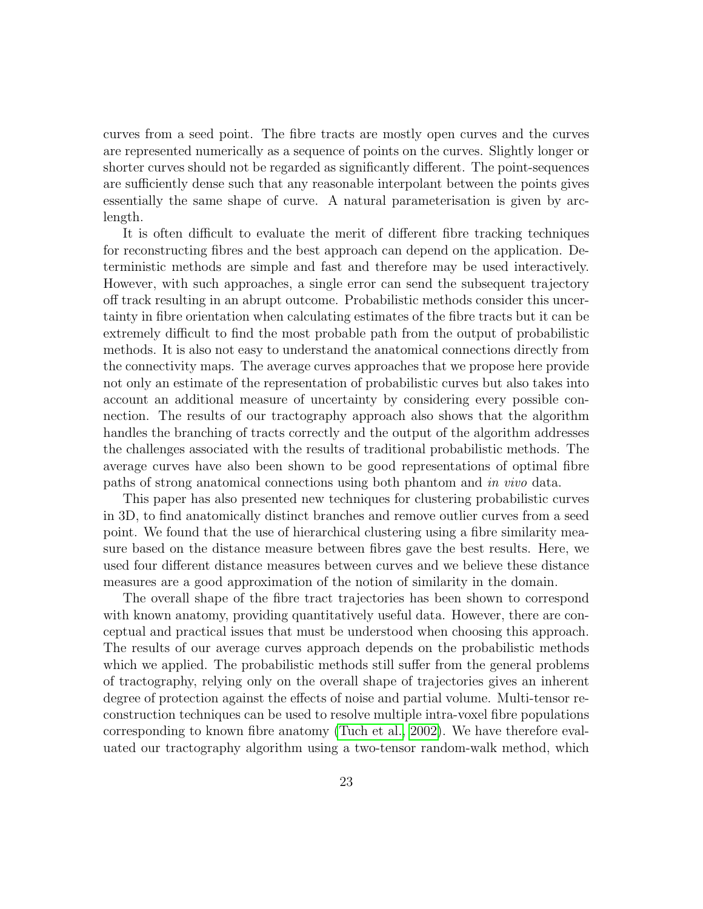curves from a seed point. The fibre tracts are mostly open curves and the curves are represented numerically as a sequence of points on the curves. Slightly longer or shorter curves should not be regarded as significantly different. The point-sequences are sufficiently dense such that any reasonable interpolant between the points gives essentially the same shape of curve. A natural parameterisation is given by arclength.

It is often difficult to evaluate the merit of different fibre tracking techniques for reconstructing fibres and the best approach can depend on the application. Deterministic methods are simple and fast and therefore may be used interactively. However, with such approaches, a single error can send the subsequent trajectory off track resulting in an abrupt outcome. Probabilistic methods consider this uncertainty in fibre orientation when calculating estimates of the fibre tracts but it can be extremely difficult to find the most probable path from the output of probabilistic methods. It is also not easy to understand the anatomical connections directly from the connectivity maps. The average curves approaches that we propose here provide not only an estimate of the representation of probabilistic curves but also takes into account an additional measure of uncertainty by considering every possible connection. The results of our tractography approach also shows that the algorithm handles the branching of tracts correctly and the output of the algorithm addresses the challenges associated with the results of traditional probabilistic methods. The average curves have also been shown to be good representations of optimal fibre paths of strong anatomical connections using both phantom and *in vivo* data.

This paper has also presented new techniques for clustering probabilistic curves in 3D, to find anatomically distinct branches and remove outlier curves from a seed point. We found that the use of hierarchical clustering using a fibre similarity measure based on the distance measure between fibres gave the best results. Here, we used four different distance measures between curves and we believe these distance measures are a good approximation of the notion of similarity in the domain.

The overall shape of the fibre tract trajectories has been shown to correspond with known anatomy, providing quantitatively useful data. However, there are conceptual and practical issues that must be understood when choosing this approach. The results of our average curves approach depends on the probabilistic methods which we applied. The probabilistic methods still suffer from the general problems of tractography, relying only on the overall shape of trajectories gives an inherent degree of protection against the effects of noise and partial volume. Multi-tensor reconstruction techniques can be used to resolve multiple intra-voxel fibre populations corresponding to known fibre anatomy [\(Tuch et al., 2002\)](#page-27-0). We have therefore evaluated our tractography algorithm using a two-tensor random-walk method, which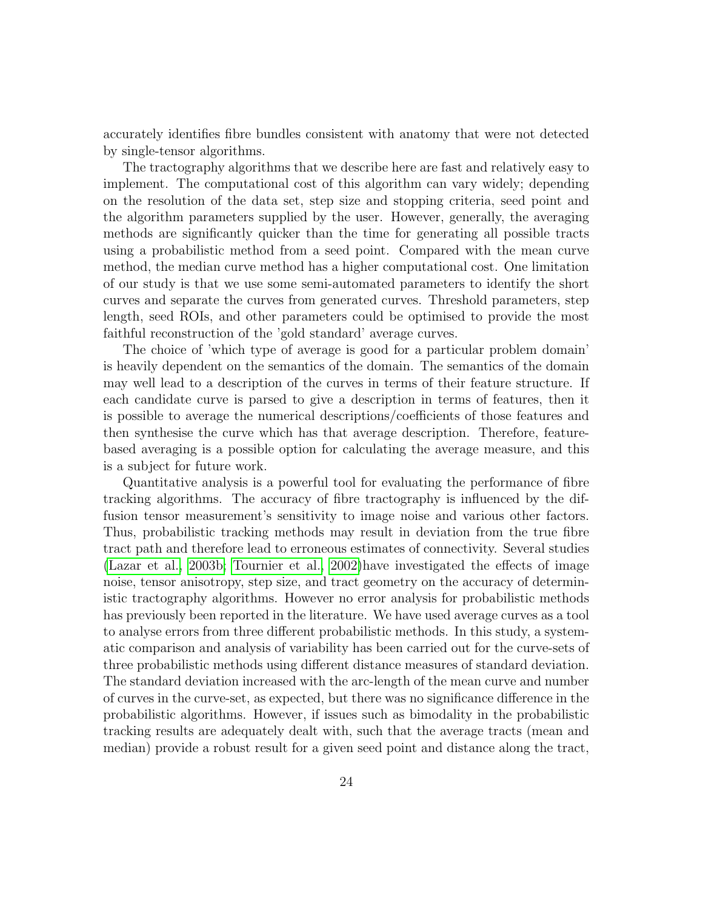accurately identifies fibre bundles consistent with anatomy that were not detected by single-tensor algorithms.

<span id="page-24-7"></span><span id="page-24-0"></span>The tractography algorithms that we describe here are fast and relatively easy to implement. The computational cost of this algorithm can vary widely; depending on the resolution of the data set, step size and stopping criteria, seed point and the algorithm parameters supplied by the user. However, generally, the averaging methods are significantly quicker than the time for generating all possible tracts using a probabilistic method from a seed point. Compared with the mean curve method, the median curve method has a higher computational cost. One limitation of our study is that we use some semi-automated parameters to identify the short curves and separate the curves from generated curves. Threshold parameters, step length, seed ROIs, and other parameters could be optimised to provide the most faithful reconstruction of the 'gold standard' average curves.

<span id="page-24-6"></span><span id="page-24-1"></span>The choice of 'which type of average is good for a particular problem domain' is heavily dependent on the semantics of the domain. The semantics of the domain may well lead to a description of the curves in terms of their feature structure. If each candidate curve is parsed to give a description in terms of features, then it is possible to average the numerical descriptions/coefficients of those features and then synthesise the curve which has that average description. Therefore, featurebased averaging is a possible option for calculating the average measure, and this is a subject for future work.

<span id="page-24-8"></span><span id="page-24-5"></span><span id="page-24-4"></span><span id="page-24-3"></span><span id="page-24-2"></span>Quantitative analysis is a powerful tool for evaluating the performance of fibre tracking algorithms. The accuracy of fibre tractography is influenced by the diffusion tensor measurement's sensitivity to image noise and various other factors. Thus, probabilistic tracking methods may result in deviation from the true fibre tract path and therefore lead to erroneous estimates of connectivity. Several studies [\(Lazar et al., 2003b;](#page-25-11) [Tournier et al., 2002\)](#page-26-9)have investigated the effects of image noise, tensor anisotropy, step size, and tract geometry on the accuracy of deterministic tractography algorithms. However no error analysis for probabilistic methods has previously been reported in the literature. We have used average curves as a tool to analyse errors from three different probabilistic methods. In this study, a systematic comparison and analysis of variability has been carried out for the curve-sets of three probabilistic methods using different distance measures of standard deviation. The standard deviation increased with the arc-length of the mean curve and number of curves in the curve-set, as expected, but there was no significance difference in the probabilistic algorithms. However, if issues such as bimodality in the probabilistic tracking results are adequately dealt with, such that the average tracts (mean and median) provide a robust result for a given seed point and distance along the tract,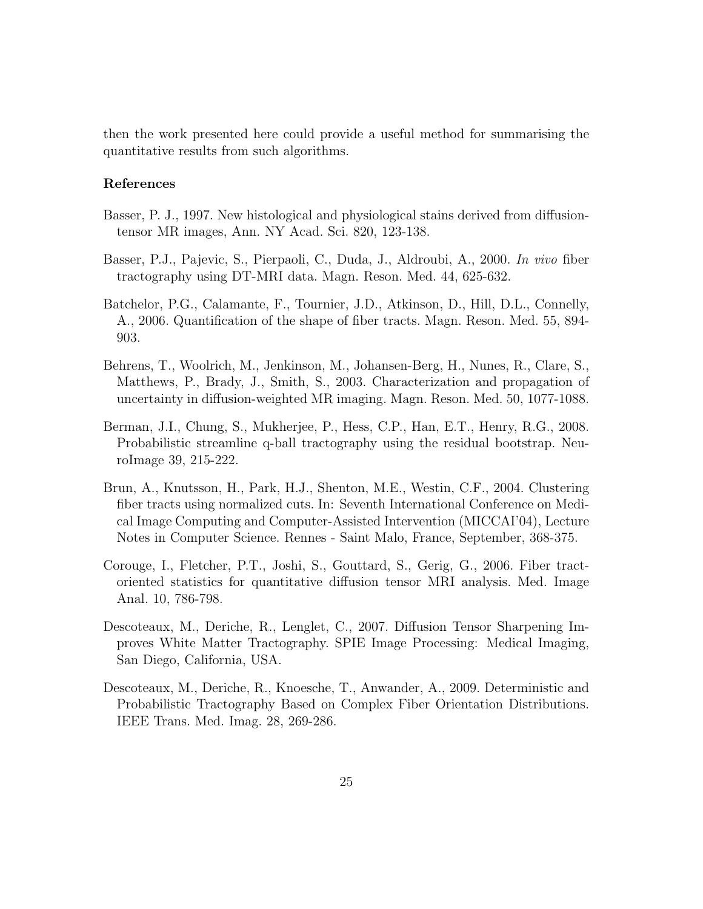<span id="page-25-9"></span>then the work presented here could provide a useful method for summarising the quantitative results from such algorithms.

#### <span id="page-25-10"></span>References

- <span id="page-25-1"></span>Basser, P. J., 1997. New histological and physiological stains derived from diffusiontensor MR images, Ann. NY Acad. Sci. 820, 123-138.
- <span id="page-25-2"></span>Basser, P.J., Pajevic, S., Pierpaoli, C., Duda, J., Aldroubi, A., 2000. *In vivo* fiber tractography using DT-MRI data. Magn. Reson. Med. 44, 625-632.
- Batchelor, P.G., Calamante, F., Tournier, J.D., Atkinson, D., Hill, D.L., Connelly, A., 2006. Quantification of the shape of fiber tracts. Magn. Reson. Med. 55, 894- 903.
- <span id="page-25-6"></span><span id="page-25-3"></span>Behrens, T., Woolrich, M., Jenkinson, M., Johansen-Berg, H., Nunes, R., Clare, S., Matthews, P., Brady, J., Smith, S., 2003. Characterization and propagation of uncertainty in diffusion-weighted MR imaging. Magn. Reson. Med. 50, 1077-1088.
- <span id="page-25-7"></span>Berman, J.I., Chung, S., Mukherjee, P., Hess, C.P., Han, E.T., Henry, R.G., 2008. Probabilistic streamline q-ball tractography using the residual bootstrap. NeuroImage 39, 215-222.
- <span id="page-25-0"></span>Brun, A., Knutsson, H., Park, H.J., Shenton, M.E., Westin, C.F., 2004. Clustering fiber tracts using normalized cuts. In: Seventh International Conference on Medical Image Computing and Computer-Assisted Intervention (MICCAI'04), Lecture Notes in Computer Science. Rennes - Saint Malo, France, September, 368-375.
- <span id="page-25-11"></span>Corouge, I., Fletcher, P.T., Joshi, S., Gouttard, S., Gerig, G., 2006. Fiber tractoriented statistics for quantitative diffusion tensor MRI analysis. Med. Image Anal. 10, 786-798.
- <span id="page-25-5"></span><span id="page-25-4"></span>Descoteaux, M., Deriche, R., Lenglet, C., 2007. Diffusion Tensor Sharpening Improves White Matter Tractography. SPIE Image Processing: Medical Imaging, San Diego, California, USA.
- <span id="page-25-8"></span>Descoteaux, M., Deriche, R., Knoesche, T., Anwander, A., 2009. Deterministic and Probabilistic Tractography Based on Complex Fiber Orientation Distributions. IEEE Trans. Med. Imag. 28, 269-286.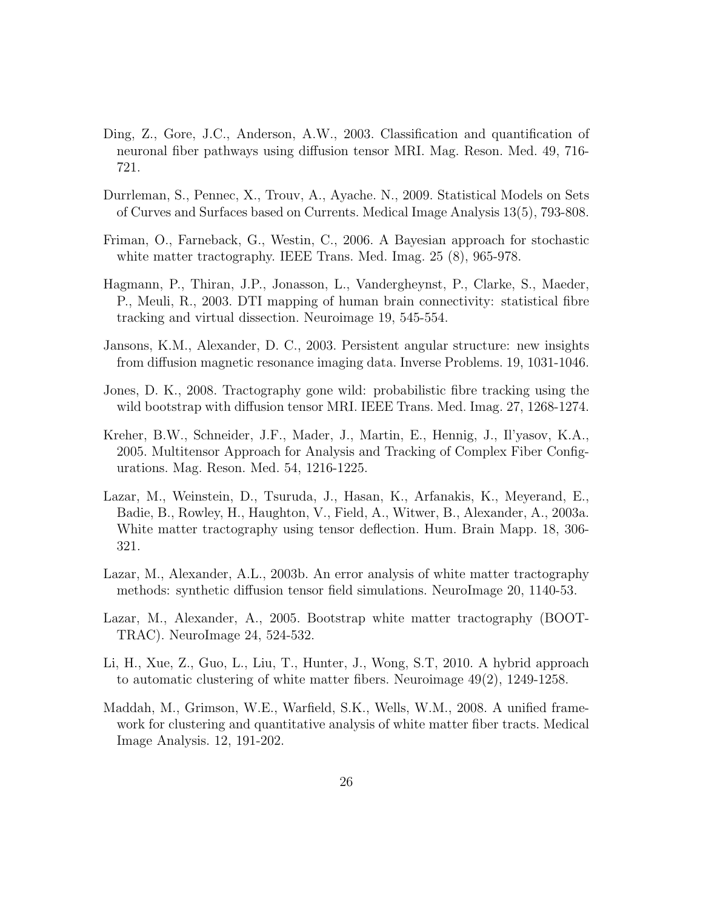- <span id="page-26-0"></span>Ding, Z., Gore, J.C., Anderson, A.W., 2003. Classification and quantification of neuronal fiber pathways using diffusion tensor MRI. Mag. Reson. Med. 49, 716- 721.
- <span id="page-26-1"></span>Durrleman, S., Pennec, X., Trouv, A., Ayache. N., 2009. Statistical Models on Sets of Curves and Surfaces based on Currents. Medical Image Analysis 13(5), 793-808.
- <span id="page-26-5"></span>Friman, O., Farneback, G., Westin, C., 2006. A Bayesian approach for stochastic white matter tractography. IEEE Trans. Med. Imag. 25 (8), 965-978.
- <span id="page-26-6"></span>Hagmann, P., Thiran, J.P., Jonasson, L., Vandergheynst, P., Clarke, S., Maeder, P., Meuli, R., 2003. DTI mapping of human brain connectivity: statistical fibre tracking and virtual dissection. Neuroimage 19, 545-554.
- Jansons, K.M., Alexander, D. C., 2003. Persistent angular structure: new insights from diffusion magnetic resonance imaging data. Inverse Problems. 19, 1031-1046.
- <span id="page-26-8"></span>Jones, D. K., 2008. Tractography gone wild: probabilistic fibre tracking using the wild bootstrap with diffusion tensor MRI. IEEE Trans. Med. Imag. 27, 1268-1274.
- <span id="page-26-2"></span>Kreher, B.W., Schneider, J.F., Mader, J., Martin, E., Hennig, J., Il'yasov, K.A., 2005. Multitensor Approach for Analysis and Tracking of Complex Fiber Configurations. Mag. Reson. Med. 54, 1216-1225.
- <span id="page-26-3"></span>Lazar, M., Weinstein, D., Tsuruda, J., Hasan, K., Arfanakis, K., Meyerand, E., Badie, B., Rowley, H., Haughton, V., Field, A., Witwer, B., Alexander, A., 2003a. White matter tractography using tensor deflection. Hum. Brain Mapp. 18, 306- 321.
- <span id="page-26-4"></span>Lazar, M., Alexander, A.L., 2003b. An error analysis of white matter tractography methods: synthetic diffusion tensor field simulations. NeuroImage 20, 1140-53.
- Lazar, M., Alexander, A., 2005. Bootstrap white matter tractography (BOOT-TRAC). NeuroImage 24, 524-532.
- <span id="page-26-7"></span>Li, H., Xue, Z., Guo, L., Liu, T., Hunter, J., Wong, S.T, 2010. A hybrid approach to automatic clustering of white matter fibers. Neuroimage 49(2), 1249-1258.
- <span id="page-26-9"></span>Maddah, M., Grimson, W.E., Warfield, S.K., Wells, W.M., 2008. A unified framework for clustering and quantitative analysis of white matter fiber tracts. Medical Image Analysis. 12, 191-202.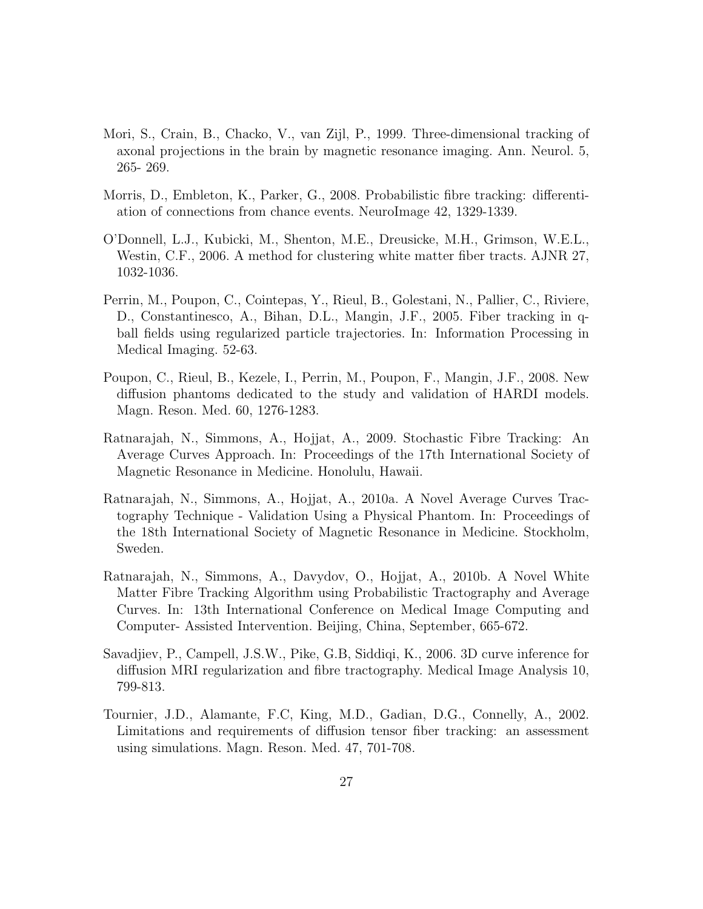- <span id="page-27-0"></span>Mori, S., Crain, B., Chacko, V., van Zijl, P., 1999. Three-dimensional tracking of axonal projections in the brain by magnetic resonance imaging. Ann. Neurol. 5, 265- 269.
- <span id="page-27-3"></span><span id="page-27-1"></span>Morris, D., Embleton, K., Parker, G., 2008. Probabilistic fibre tracking: differentiation of connections from chance events. NeuroImage 42, 1329-1339.
- O'Donnell, L.J., Kubicki, M., Shenton, M.E., Dreusicke, M.H., Grimson, W.E.L., Westin, C.F., 2006. A method for clustering white matter fiber tracts. AJNR 27, 1032-1036.
- <span id="page-27-2"></span>Perrin, M., Poupon, C., Cointepas, Y., Rieul, B., Golestani, N., Pallier, C., Riviere, D., Constantinesco, A., Bihan, D.L., Mangin, J.F., 2005. Fiber tracking in qball fields using regularized particle trajectories. In: Information Processing in Medical Imaging. 52-63.
- <span id="page-27-4"></span>Poupon, C., Rieul, B., Kezele, I., Perrin, M., Poupon, F., Mangin, J.F., 2008. New diffusion phantoms dedicated to the study and validation of HARDI models. Magn. Reson. Med. 60, 1276-1283.
- Ratnarajah, N., Simmons, A., Hojjat, A., 2009. Stochastic Fibre Tracking: An Average Curves Approach. In: Proceedings of the 17th International Society of Magnetic Resonance in Medicine. Honolulu, Hawaii.
- Ratnarajah, N., Simmons, A., Hojjat, A., 2010a. A Novel Average Curves Tractography Technique - Validation Using a Physical Phantom. In: Proceedings of the 18th International Society of Magnetic Resonance in Medicine. Stockholm, Sweden.
- Ratnarajah, N., Simmons, A., Davydov, O., Hojjat, A., 2010b. A Novel White Matter Fibre Tracking Algorithm using Probabilistic Tractography and Average Curves. In: 13th International Conference on Medical Image Computing and Computer- Assisted Intervention. Beijing, China, September, 665-672.
- Savadjiev, P., Campell, J.S.W., Pike, G.B, Siddiqi, K., 2006. 3D curve inference for diffusion MRI regularization and fibre tractography. Medical Image Analysis 10, 799-813.
- Tournier, J.D., Alamante, F.C, King, M.D., Gadian, D.G., Connelly, A., 2002. Limitations and requirements of diffusion tensor fiber tracking: an assessment using simulations. Magn. Reson. Med. 47, 701-708.